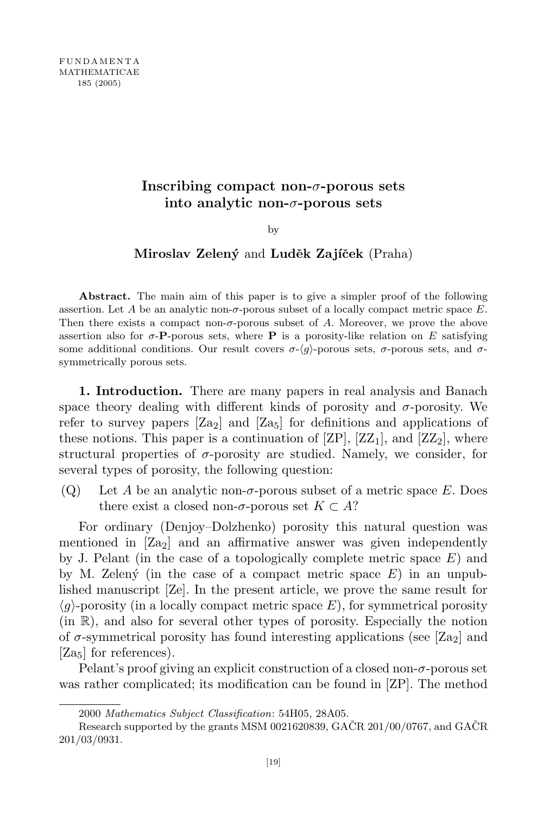# Inscribing compact non- $\sigma$ -porous sets into analytic non-σ-porous sets

by

## Miroslav Zelený and Luděk Zajíček (Praha)

Abstract. The main aim of this paper is to give a simpler proof of the following assertion. Let A be an analytic non- $\sigma$ -porous subset of a locally compact metric space E. Then there exists a compact non-σ-porous subset of A. Moreover, we prove the above assertion also for  $\sigma$ -P-porous sets, where P is a porosity-like relation on E satisfying some additional conditions. Our result covers  $\sigma$ - $\langle q \rangle$ -porous sets,  $\sigma$ -porous sets, and  $\sigma$ symmetrically porous sets.

1. Introduction. There are many papers in real analysis and Banach space theory dealing with different kinds of porosity and  $\sigma$ -porosity. We refer to survey papers  $[Z_{a_2}]$  and  $[Z_{a_5}]$  for definitions and applications of these notions. This paper is a continuation of  $\left[\text{ZP}\right]$ ,  $\left[\text{ZZ}_1\right]$ , and  $\left[\text{ZZ}_2\right]$ , where structural properties of  $\sigma$ -porosity are studied. Namely, we consider, for several types of porosity, the following question:

(Q) Let A be an analytic non- $\sigma$ -porous subset of a metric space E. Does there exist a closed non- $\sigma$ -porous set  $K \subset A$ ?

For ordinary (Denjoy–Dolzhenko) porosity this natural question was mentioned in  $\left[ Za_2 \right]$  and an affirmative answer was given independently by J. Pelant (in the case of a topologically complete metric space  $E$ ) and by M. Zeleny´ (in the case of a compact metric space  $E$ ) in an unpublished manuscript [Ze]. In the present article, we prove the same result for  $\langle g \rangle$ -porosity (in a locally compact metric space E), for symmetrical porosity (in R), and also for several other types of porosity. Especially the notion of  $\sigma$ -symmetrical porosity has found interesting applications (see [Za<sub>2</sub>] and [Za<sub>5</sub>] for references).

Pelant's proof giving an explicit construction of a closed non- $\sigma$ -porous set was rather complicated; its modification can be found in [ZP]. The method

<sup>2000</sup> Mathematics Subject Classification: 54H05, 28A05.

Research supported by the grants MSM 0021620839, GAČR  $201/00/0767$ , and GAČR 201/03/0931.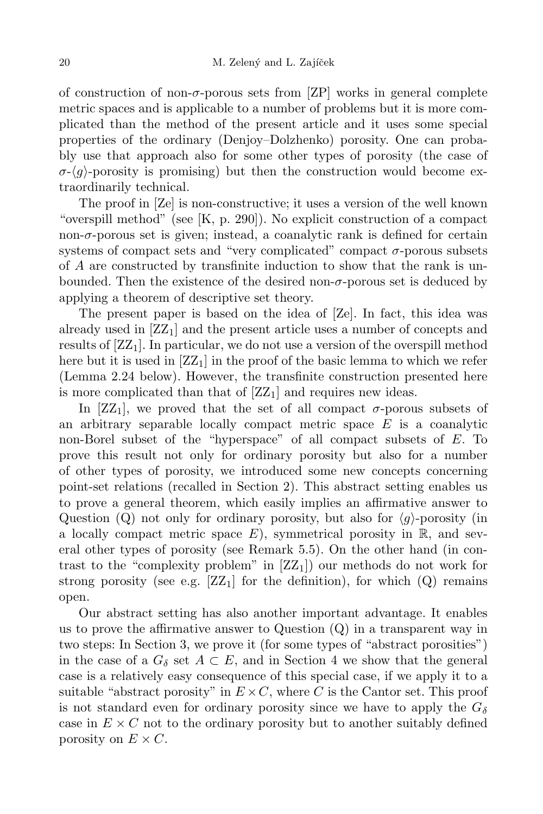of construction of non- $\sigma$ -porous sets from [ZP] works in general complete metric spaces and is applicable to a number of problems but it is more complicated than the method of the present article and it uses some special properties of the ordinary (Denjoy–Dolzhenko) porosity. One can probably use that approach also for some other types of porosity (the case of  $\sigma-\langle g\rangle$ -porosity is promising) but then the construction would become extraordinarily technical.

The proof in [Ze] is non-constructive; it uses a version of the well known "overspill method" (see [K, p. 290]). No explicit construction of a compact non-σ-porous set is given; instead, a coanalytic rank is defined for certain systems of compact sets and "very complicated" compact  $\sigma$ -porous subsets of A are constructed by transfinite induction to show that the rank is unbounded. Then the existence of the desired non- $\sigma$ -porous set is deduced by applying a theorem of descriptive set theory.

The present paper is based on the idea of [Ze]. In fact, this idea was already used in  $[ZZ_1]$  and the present article uses a number of concepts and results of  $[ZZ_1]$ . In particular, we do not use a version of the overspill method here but it is used in  $[ZZ_1]$  in the proof of the basic lemma to which we refer (Lemma 2.24 below). However, the transfinite construction presented here is more complicated than that of  $[ZZ_1]$  and requires new ideas.

In [ZZ<sub>1</sub>], we proved that the set of all compact  $\sigma$ -porous subsets of an arbitrary separable locally compact metric space  $E$  is a coanalytic non-Borel subset of the "hyperspace" of all compact subsets of E. To prove this result not only for ordinary porosity but also for a number of other types of porosity, we introduced some new concepts concerning point-set relations (recalled in Section 2). This abstract setting enables us to prove a general theorem, which easily implies an affirmative answer to Question (Q) not only for ordinary porosity, but also for  $\langle g \rangle$ -porosity (in a locally compact metric space  $E$ ), symmetrical porosity in  $\mathbb{R}$ , and several other types of porosity (see Remark 5.5). On the other hand (in contrast to the "complexity problem" in  $[Z_1]$  our methods do not work for strong porosity (see e.g.  $[ZZ_1]$  for the definition), for which  $(Q)$  remains open.

Our abstract setting has also another important advantage. It enables us to prove the affirmative answer to Question  $(Q)$  in a transparent way in two steps: In Section 3, we prove it (for some types of "abstract porosities") in the case of a  $G_{\delta}$  set  $A \subset E$ , and in Section 4 we show that the general case is a relatively easy consequence of this special case, if we apply it to a suitable "abstract porosity" in  $E \times C$ , where C is the Cantor set. This proof is not standard even for ordinary porosity since we have to apply the  $G_{\delta}$ case in  $E \times C$  not to the ordinary porosity but to another suitably defined porosity on  $E \times C$ .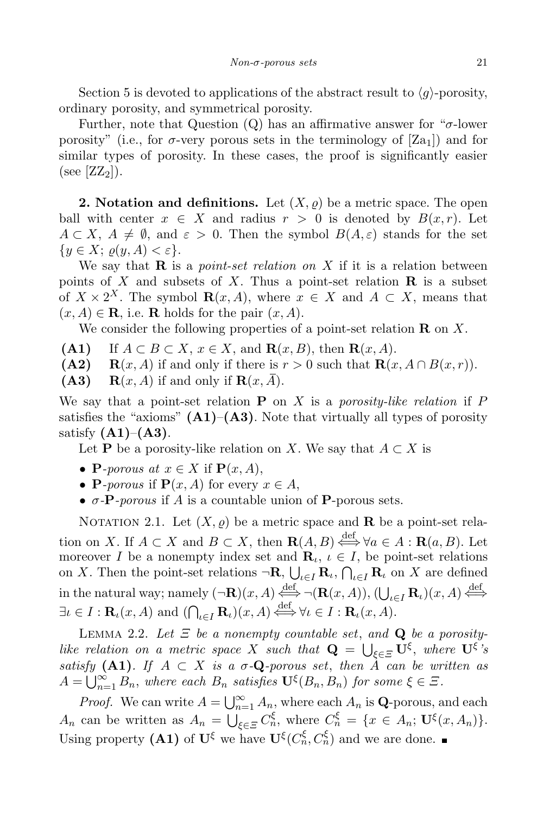Section 5 is devoted to applications of the abstract result to  $\langle g \rangle$ -porosity, ordinary porosity, and symmetrical porosity.

Further, note that Question  $(Q)$  has an affirmative answer for " $\sigma$ -lower" porosity" (i.e., for  $\sigma$ -very porous sets in the terminology of  $[Z_{a_1}]$ ) and for similar types of porosity. In these cases, the proof is significantly easier (see  $[ZZ_2]$ ).

**2. Notation and definitions.** Let  $(X, \rho)$  be a metric space. The open ball with center  $x \in X$  and radius  $r > 0$  is denoted by  $B(x, r)$ . Let  $A \subset X$ ,  $A \neq \emptyset$ , and  $\varepsilon > 0$ . Then the symbol  $B(A, \varepsilon)$  stands for the set  $\{y \in X; \, \rho(y, A) < \varepsilon\}.$ 

We say that  $\bf{R}$  is a *point-set relation on* X if it is a relation between points of X and subsets of X. Thus a point-set relation  $\bf{R}$  is a subset of  $X \times 2^X$ . The symbol  $\mathbf{R}(x, A)$ , where  $x \in X$  and  $A \subset X$ , means that  $(x, A) \in \mathbf{R}$ , i.e. **R** holds for the pair  $(x, A)$ .

We consider the following properties of a point-set relation  $\mathbf R$  on  $X$ .

- (A1) If  $A \subset B \subset X$ ,  $x \in X$ , and  $\mathbf{R}(x, B)$ , then  $\mathbf{R}(x, A)$ .<br>(A2)  $\mathbf{R}(x, A)$  if and only if there is  $r > 0$  such that  $\mathbf{R}(x)$
- (A2)  $\mathbf{R}(x, A)$  if and only if there is  $r > 0$  such that  $\mathbf{R}(x, A \cap B(x, r))$ .<br>(A3)  $\mathbf{R}(x, A)$  if and only if  $\mathbf{R}(x, \overline{A})$ .
- $\mathbf{R}(x, A)$  if and only if  $\mathbf{R}(x, A)$ .

We say that a point-set relation  $P$  on X is a porosity-like relation if P satisfies the "axioms"  $(A1)$ – $(A3)$ . Note that virtually all types of porosity satisfy  $(A1)$ – $(A3)$ .

Let **P** be a porosity-like relation on X. We say that  $A \subset X$  is

- **P**-porous at  $x \in X$  if  $\mathbf{P}(x, A)$ ,
- **P**-porous if  $P(x, A)$  for every  $x \in A$ ,
- $\sigma$ -**P**-porous if A is a countable union of **P**-porous sets.

NOTATION 2.1. Let  $(X, \rho)$  be a metric space and **R** be a point-set relation on X. If  $A \subset X$  and  $B \subset X$ , then  $\mathbf{R}(A, B) \stackrel{\text{def}}{\iff} \forall a \in A : \mathbf{R}(a, B)$ . Let moreover I be a nonempty index set and  $\mathbf{R}_{\iota}$ ,  $\iota \in I$ , be point-set relations on X. Then the point-set relations  $\neg \mathbf{R}, \bigcup_{\iota \in I} \mathbf{R}_{\iota}, \bigcap_{\iota \in I} \mathbf{R}_{\iota}$  on X are defined in the natural way; namely  $(\neg \mathbf{R})(x, A) \stackrel{\text{def}}{\iff} \neg(\mathbf{R}(x, A)), (\bigcup_{\iota \in I} \mathbf{R}_{\iota})(x, A) \stackrel{\text{def}}{\iff}$  $\exists \iota \in I : \mathbf{R}_{\iota}(x, A) \text{ and } (\bigcap_{\iota \in I} \mathbf{R}_{\iota})(x, A) \stackrel{\text{def}}{\iff} \forall \iota \in I : \mathbf{R}_{\iota}(x, A).$ 

LEMMA 2.2. Let  $\Xi$  be a nonempty countable set, and **Q** be a porositylike relation on a metric space X such that  $\mathbf{Q} = \bigcup_{\xi \in \Xi} \mathbf{U}^{\xi}$ , where  $\mathbf{U}^{\xi}$ 's satisfy (A1). If  $A \subset X$  is a  $\sigma$ -Q-porous set, then  $\tilde{A}$  can be written as  $A = \bigcup_{n=1}^{\infty} B_n$ , where each  $B_n$  satisfies  $\mathbf{U}^{\xi}(B_n, B_n)$  for some  $\xi \in \Xi$ .

*Proof.* We can write  $A = \bigcup_{n=1}^{\infty} A_n$ , where each  $A_n$  is **Q**-porous, and each  $A_n$  can be written as  $A_n = \bigcup_{\xi \in \Xi} C_n^{\xi}$ , where  $C_n^{\xi} = \{x \in A_n; \mathbf{U}^{\xi}(x, A_n)\}.$ Using property (A1) of  $\mathbf{U}^{\xi}$  we have  $\mathbf{U}^{\xi}(C_n^{\xi}, C_n^{\xi})$  and we are done.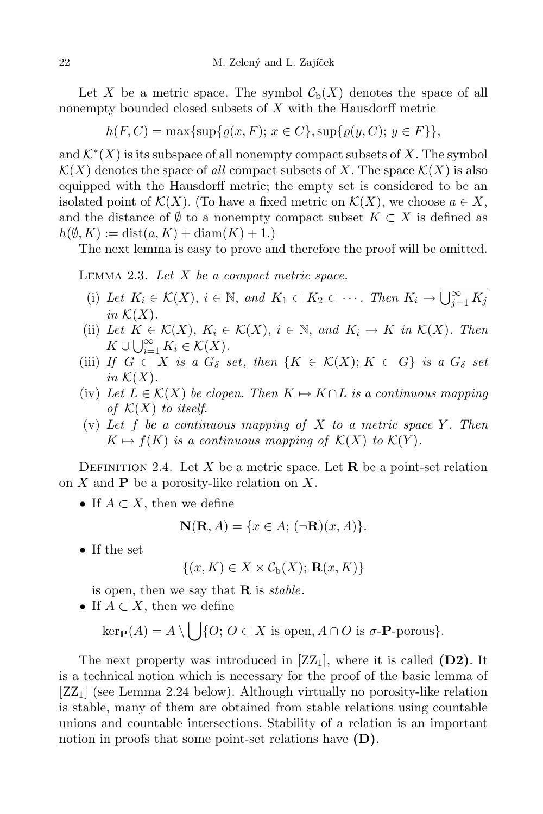Let X be a metric space. The symbol  $C_{b}(X)$  denotes the space of all nonempty bounded closed subsets of X with the Hausdorff metric

$$
h(F, C) = \max\{\sup\{\varrho(x, F); x \in C\}, \sup\{\varrho(y, C); y \in F\}\},\
$$

and  $\mathcal{K}^*(X)$  is its subspace of all nonempty compact subsets of X. The symbol  $\mathcal{K}(X)$  denotes the space of all compact subsets of X. The space  $\mathcal{K}(X)$  is also equipped with the Hausdorff metric; the empty set is considered to be an isolated point of  $\mathcal{K}(X)$ . (To have a fixed metric on  $\mathcal{K}(X)$ , we choose  $a \in X$ , and the distance of  $\emptyset$  to a nonempty compact subset  $K \subset X$  is defined as  $h(\emptyset, K) := \text{dist}(a, K) + \text{diam}(K) + 1.$ 

The next lemma is easy to prove and therefore the proof will be omitted.

LEMMA 2.3. Let  $X$  be a compact metric space.

- (i) Let  $K_i \in \mathcal{K}(X)$ ,  $i \in \mathbb{N}$ , and  $K_1 \subset K_2 \subset \cdots$ . Then  $K_i \to \overline{\bigcup_{j=1}^{\infty} K_j}$ in  $\mathcal{K}(X)$ .
- (ii) Let  $K \in \mathcal{K}(X)$ ,  $K_i \in \mathcal{K}(X)$ ,  $i \in \mathbb{N}$ , and  $K_i \to K$  in  $\mathcal{K}(X)$ . Then  $K \cup \bigcup_{i=1}^{\infty} K_i \in \mathcal{K}(X).$
- (iii) If  $G \subset X$  is a  $G_{\delta}$  set, then  $\{K \in \mathcal{K}(X); K \subset G\}$  is a  $G_{\delta}$  set in  $\mathcal{K}(X)$ .
- (iv) Let  $L \in \mathcal{K}(X)$  be clopen. Then  $K \mapsto K \cap L$  is a continuous mapping of  $\mathcal{K}(X)$  to itself.
- (v) Let f be a continuous mapping of X to a metric space Y. Then  $K \mapsto f(K)$  is a continuous mapping of  $\mathcal{K}(X)$  to  $\mathcal{K}(Y)$ .

DEFINITION 2.4. Let X be a metric space. Let **R** be a point-set relation on X and  $P$  be a porosity-like relation on X.

• If  $A \subset X$ , then we define

$$
\mathbf{N}(\mathbf{R}, A) = \{x \in A; \, (\neg \mathbf{R})(x, A)\}.
$$

• If the set

$$
\{(x,K)\in X\times \mathcal{C}_{\mathrm{b}}(X);\,\mathbf{R}(x,K)\}\
$$

is open, then we say that  $\bf{R}$  is stable.

• If  $A \subset X$ , then we define

 $\text{ker}_{\mathbf{P}}(A) = A \setminus \bigcup \{O; O \subset X \text{ is open}, A \cap O \text{ is } \sigma\text{-**P**-porous}\}.$ 

The next property was introduced in  $[ZZ_1]$ , where it is called  $(D2)$ . It is a technical notion which is necessary for the proof of the basic lemma of  $[ZZ_1]$  (see Lemma 2.24 below). Although virtually no porosity-like relation is stable, many of them are obtained from stable relations using countable unions and countable intersections. Stability of a relation is an important notion in proofs that some point-set relations have  $(D)$ .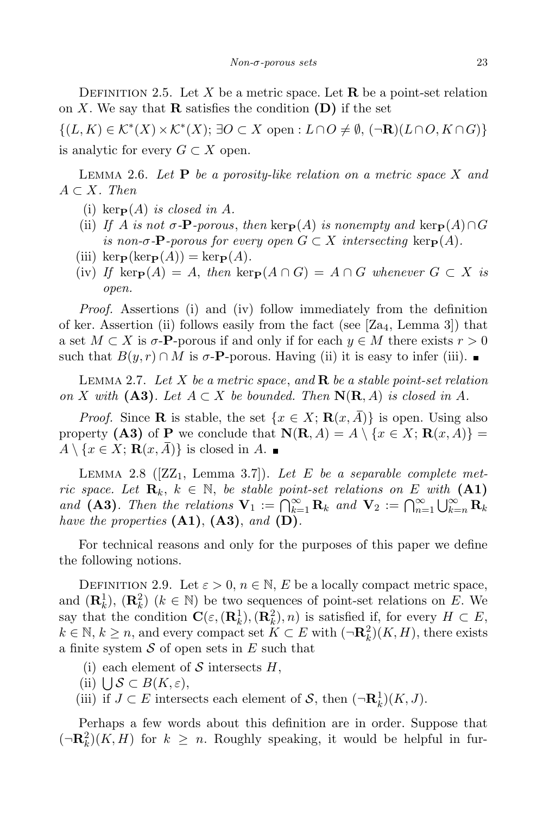DEFINITION 2.5. Let X be a metric space. Let  $\bf{R}$  be a point-set relation on X. We say that **R** satisfies the condition  $(D)$  if the set

 $\{(L,K)\in\mathcal{K}^*(X)\times\mathcal{K}^*(X);\ \exists O\subset X\text{ open}: L\cap O\neq\emptyset, (\neg\mathbf{R})(L\cap O, K\cap G)\}\$ is analytic for every  $G \subset X$  open.

LEMMA 2.6. Let  $P$  be a porosity-like relation on a metric space X and  $A \subset X$ . Then

- (i) ker $_{\mathbf{P}}(A)$  is closed in A.
- (ii) If A is not  $\sigma$ -**P**-porous, then ker $P(A)$  is nonempty and ker $P(A) \cap G$ is non- $\sigma$ -**P**-porous for every open  $G \subset X$  intersecting ker $\mathbf{P}(A)$ .
- (iii) kerp(kerp $(A)$ ) = kerp $(A)$ .
- (iv) If kerp(A) = A, then kerp( $A \cap G$ ) =  $A \cap G$  whenever  $G \subset X$  is open.

Proof. Assertions (i) and (iv) follow immediately from the definition of ker. Assertion (ii) follows easily from the fact (see  $[Z_{4},]$  Lemma 3) that a set  $M \subset X$  is  $\sigma$ -**P**-porous if and only if for each  $y \in M$  there exists  $r > 0$ such that  $B(y, r) \cap M$  is  $\sigma$ -**P**-porous. Having (ii) it is easy to infer (iii).

LEMMA 2.7. Let X be a metric space, and  $\bf{R}$  be a stable point-set relation on X with  $(A3)$ . Let  $A \subset X$  be bounded. Then  $N(R, A)$  is closed in A.

*Proof.* Since **R** is stable, the set  $\{x \in X; \mathbf{R}(x, \overline{A})\}$  is open. Using also property (A3) of P we conclude that  $N(R, A) = A \setminus \{x \in X; R(x, A)\}$  $A \setminus \{x \in X; \mathbf{R}(x, \overline{A})\}$  is closed in A.

LEMMA 2.8 ( $[Z_1, \text{ Lemma } 3.7]$ ). Let E be a separable complete metric space. Let  $\mathbf{R}_k$ ,  $k \in \mathbb{N}$ , be stable point-set relations on E with (A1) and (A3). Then the relations  $\mathbf{V}_1 := \bigcap_{k=1}^{\infty} \mathbf{R}_k$  and  $\mathbf{V}_2 := \bigcap_{n=1}^{\infty} \bigcup_{k=n}^{\infty} \mathbf{R}_k$ have the properties  $(A1)$ ,  $(A3)$ , and  $(D)$ .

For technical reasons and only for the purposes of this paper we define the following notions.

DEFINITION 2.9. Let  $\varepsilon > 0$ ,  $n \in \mathbb{N}$ , E be a locally compact metric space, and  $(\mathbf{R}_k^1)$ ,  $(\mathbf{R}_k^2)$   $(k \in \mathbb{N})$  be two sequences of point-set relations on E. We say that the condition  $\mathbf{C}(\varepsilon, (\mathbf{R}_k^1), (\mathbf{R}_k^2), n)$  is satisfied if, for every  $H \subset E$ ,  $k \in \mathbb{N}, k \geq n$ , and every compact set  $K \subset E$  with  $(\neg \mathbf{R}_k^2)(K, H)$ , there exists a finite system  $S$  of open sets in  $E$  such that

- (i) each element of S intersects  $H$ ,
- (ii)  $\bigcup_{\varepsilon} S \subset B(K, \varepsilon),$
- (iii) if  $J \subset E$  intersects each element of  $S$ , then  $(\neg \mathbf{R}_k^1)(K, J)$ .

Perhaps a few words about this definition are in order. Suppose that  $(\neg \mathbf{R}_k^2)(K, H)$  for  $k \geq n$ . Roughly speaking, it would be helpful in fur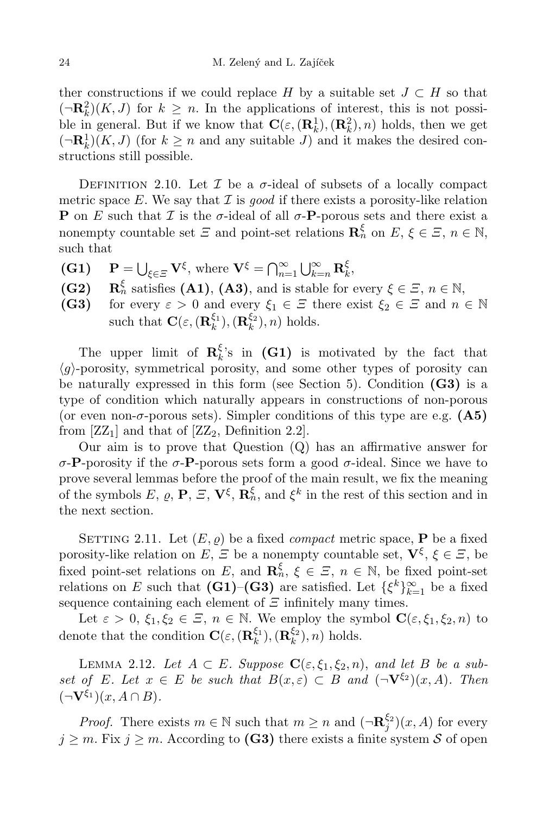ther constructions if we could replace H by a suitable set  $J \subset H$  so that  $(-\mathbf{R}_k^2)(K, J)$  for  $k \geq n$ . In the applications of interest, this is not possible in general. But if we know that  $\mathbf{C}(\varepsilon, (\mathbf{R}_k^1), (\mathbf{R}_k^2), n)$  holds, then we get  $(\neg \mathbf{R}_k^1)(K, J)$  (for  $k \geq n$  and any suitable J) and it makes the desired constructions still possible.

DEFINITION 2.10. Let  $\mathcal I$  be a  $\sigma$ -ideal of subsets of a locally compact metric space  $E$ . We say that  $\mathcal I$  is good if there exists a porosity-like relation **P** on E such that  $\mathcal I$  is the  $\sigma$ -ideal of all  $\sigma$ -**P**-porous sets and there exist a nonempty countable set  $\mathcal{E}$  and point-set relations  $\mathbf{R}_n^{\xi}$  on  $E, \xi \in \mathcal{E}, n \in \mathbb{N}$ , such that

- (G1)  $\mathbf{P} = \bigcup_{\xi \in \Xi} \mathbf{V}^{\xi}$ , where  $\mathbf{V}^{\xi} = \bigcap_{n=1}^{\infty} \bigcup_{k=n}^{\infty} \mathbf{R}_{k}^{\xi}$  $\frac{\varsigma}{k},$
- $(G2)$  $\zeta_n$  satisfies (A1), (A3), and is stable for every  $\xi \in \Xi$ ,  $n \in \mathbb{N}$ ,
- (G3) for every  $\varepsilon > 0$  and every  $\xi_1 \in \Xi$  there exist  $\xi_2 \in \Xi$  and  $n \in \mathbb{N}$ such that  $\mathbf{C}(\varepsilon, (\mathbf{R}_k^{\xi_1})$  $_{k}^{\xi_{1}}),(\mathbf{R}_{k}^{\xi_{2}}% )\in\mathbb{R}_{\Sigma_{k}}^{k}$  $\binom{52}{k}$ , *n*) holds.

The upper limit of  $\mathbf{R}_{k}^{\xi}$  $\mathcal{E}_k$ 's in (G1) is motivated by the fact that  $\langle q \rangle$ -porosity, symmetrical porosity, and some other types of porosity can be naturally expressed in this form (see Section 5). Condition  $(G3)$  is a type of condition which naturally appears in constructions of non-porous (or even non- $\sigma$ -porous sets). Simpler conditions of this type are e.g. (A5) from  $[ZZ_1]$  and that of  $[ZZ_2]$ , Definition 2.2].

Our aim is to prove that Question (Q) has an affirmative answer for  $\sigma$ -P-porosity if the  $\sigma$ -P-porous sets form a good  $\sigma$ -ideal. Since we have to prove several lemmas before the proof of the main result, we fix the meaning of the symbols E,  $\varrho$ , P,  $\Xi$ ,  $\mathbf{V}^{\xi}$ ,  $\mathbf{R}_n^{\xi}$ , and  $\xi^k$  in the rest of this section and in the next section.

SETTING 2.11. Let  $(E, \rho)$  be a fixed *compact* metric space, **P** be a fixed porosity-like relation on E,  $\Xi$  be a nonempty countable set,  $\mathbf{V}^{\xi}$ ,  $\xi \in \Xi$ , be fixed point-set relations on E, and  $\mathbf{R}_n^{\xi}$ ,  $\xi \in \Xi$ ,  $n \in \mathbb{N}$ , be fixed point-set relations on E such that  $(G1)$ – $(G3)$  are satisfied. Let  $\{\xi^k\}_{k=1}^{\infty}$  be a fixed sequence containing each element of  $\Xi$  infinitely many times.

Let  $\varepsilon > 0$ ,  $\xi_1, \xi_2 \in \Xi$ ,  $n \in \mathbb{N}$ . We employ the symbol  $\mathbf{C}(\varepsilon, \xi_1, \xi_2, n)$  to denote that the condition  $\mathbf{C}(\varepsilon, (\mathbf{R}_k^{\xi_1}))$  ${}^{\xi_1}_k), (\mathbf{R}^{\xi_2}_k$  $\binom{52}{k}$ , *n*) holds.

LEMMA 2.12. Let  $A \subset E$ . Suppose  $\mathbf{C}(\varepsilon, \xi_1, \xi_2, n)$ , and let B be a subset of E. Let  $x \in E$  be such that  $B(x,\varepsilon) \subset B$  and  $(\neg \mathbf{V}^{\xi_2})(x,A)$ . Then  $(\neg \mathbf{V}^{\xi_1})(x, A \cap B).$ 

*Proof.* There exists  $m \in \mathbb{N}$  such that  $m \geq n$  and  $(\neg \mathbf{R}^{\xi_2}_j)(x, A)$  for every  $j \geq m$ . Fix  $j \geq m$ . According to (G3) there exists a finite system S of open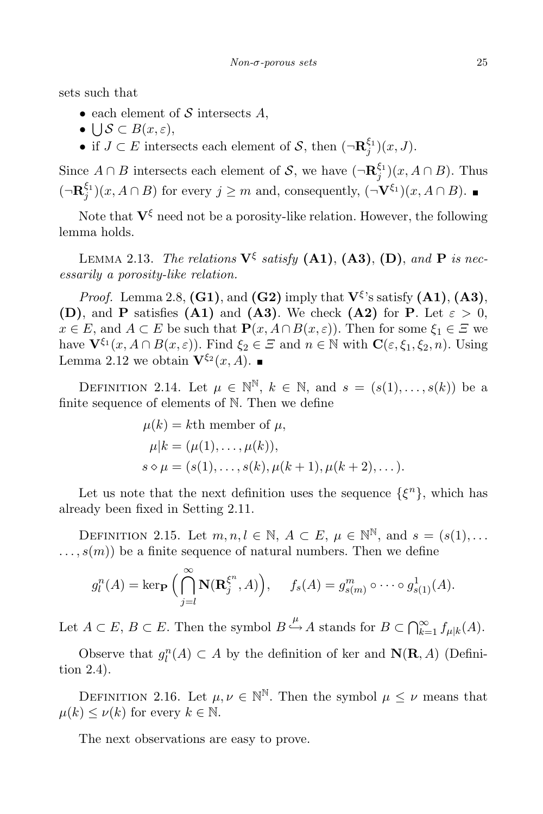sets such that

- each element of S intersects  $A$ ,
- $\bigcup \mathcal{S} \subset B(x,\varepsilon),$
- if  $J \subset E$  intersects each element of  $S$ , then  $(\neg \mathbf{R}_j^{\xi_1})(x, J)$ .

Since  $A \cap B$  intersects each element of S, we have  $(\neg \mathbf{R}_j^{\xi_1})(x, A \cap B)$ . Thus  $(\neg \mathbf{R}_j^{\xi_1})(x, A \cap B)$  for every  $j \geq m$  and, consequently,  $(\neg \mathbf{V}^{\xi_1})(x, A \cap B)$ .

Note that  $V^{\xi}$  need not be a porosity-like relation. However, the following lemma holds.

LEMMA 2.13. The relations  $V^{\xi}$  satisfy  $(A1)$ ,  $(A3)$ ,  $(D)$ , and  $P$  is necessarily a porosity-like relation.

*Proof.* Lemma 2.8,  $(G1)$ , and  $(G2)$  imply that  $V^{\xi}$ 's satisfy  $(A1)$ ,  $(A3)$ , (D), and P satisfies (A1) and (A3). We check (A2) for P. Let  $\varepsilon > 0$ ,  $x \in E$ , and  $A \subset E$  be such that  $\mathbf{P}(x, A \cap B(x, \varepsilon))$ . Then for some  $\xi_1 \in \Xi$  we have  $\mathbf{V}^{\xi_1}(x, A \cap B(x, \varepsilon))$ . Find  $\xi_2 \in \Xi$  and  $n \in \mathbb{N}$  with  $\mathbf{C}(\varepsilon, \xi_1, \xi_2, n)$ . Using Lemma 2.12 we obtain  $\mathbf{V}^{\xi_2}(x, A)$ .

DEFINITION 2.14. Let  $\mu \in \mathbb{N}^{\mathbb{N}}$ ,  $k \in \mathbb{N}$ , and  $s = (s(1), \ldots, s(k))$  be a finite sequence of elements of N. Then we define

$$
\mu(k) = k\text{th member of } \mu,
$$
  
\n $\mu|k = (\mu(1), ..., \mu(k)),$   
\n $s \diamond \mu = (s(1), ..., s(k), \mu(k+1), \mu(k+2), ...).$ 

Let us note that the next definition uses the sequence  $\{\xi^n\}$ , which has already been fixed in Setting 2.11.

DEFINITION 2.15. Let  $m, n, l \in \mathbb{N}$ ,  $A \subset E$ ,  $\mu \in \mathbb{N}^{\mathbb{N}}$ , and  $s = (s(1), \ldots)$  $\dots, s(m)$  be a finite sequence of natural numbers. Then we define

$$
g_l^n(A) = \ker_{\mathbf{P}} \Big( \bigcap_{j=l}^{\infty} \mathbf{N}(\mathbf{R}_j^{\xi^n}, A) \Big), \quad f_s(A) = g_{s(m)}^m \circ \cdots \circ g_{s(1)}^1(A).
$$

Let  $A \subset E$ ,  $B \subset E$ . Then the symbol  $B \xrightarrow{\mu} A$  stands for  $B \subset \bigcap_{k=1}^{\infty} f_{\mu|k}(A)$ .

Observe that  $g_l^n(A) \subset A$  by the definition of ker and  $\mathbf{N}(\mathbf{R}, A)$  (Definition 2.4).

DEFINITION 2.16. Let  $\mu, \nu \in \mathbb{N}^{\mathbb{N}}$ . Then the symbol  $\mu \leq \nu$  means that  $\mu(k) \leq \nu(k)$  for every  $k \in \mathbb{N}$ .

The next observations are easy to prove.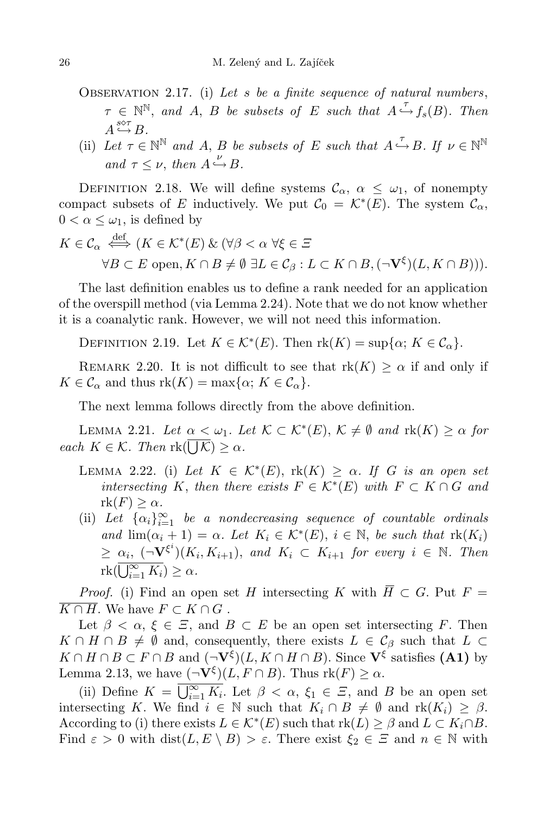- OBSERVATION 2.17. (i) Let  $s$  be a finite sequence of natural numbers,  $\tau \in \mathbb{N}^{\mathbb{N}},$  and A, B be subsets of E such that  $A \xrightarrow{\tau} f_s(B)$ . Then  $A \stackrel{s \diamond \tau}{\hookrightarrow} B$ .
- (ii) Let  $\tau \in \mathbb{N}^{\mathbb{N}}$  and A, B be subsets of E such that  $A \xrightarrow{\tau} B$ . If  $\nu \in \mathbb{N}^{\mathbb{N}}$ and  $\tau \leq \nu$ , then  $A \xrightarrow{\nu} B$ .

DEFINITION 2.18. We will define systems  $\mathcal{C}_{\alpha}$ ,  $\alpha \leq \omega_1$ , of nonempty compact subsets of E inductively. We put  $C_0 = \mathcal{K}^*(E)$ . The system  $\mathcal{C}_{\alpha}$ ,  $0 < \alpha \leq \omega_1$ , is defined by

$$
K \in \mathcal{C}_{\alpha} \iff (K \in \mathcal{K}^*(E) \& (\forall \beta < \alpha \ \forall \xi \in \Xi
$$
\n
$$
\forall B \subset E \text{ open}, K \cap B \neq \emptyset \ \exists L \in \mathcal{C}_{\beta} : L \subset K \cap B, (\neg \mathbf{V}^{\xi})(L, K \cap B))).
$$

The last definition enables us to define a rank needed for an application of the overspill method (via Lemma 2.24). Note that we do not know whether it is a coanalytic rank. However, we will not need this information.

DEFINITION 2.19. Let  $K \in \mathcal{K}^*(E)$ . Then  $\text{rk}(K) = \sup\{\alpha; K \in \mathcal{C}_\alpha\}.$ 

REMARK 2.20. It is not difficult to see that  $rk(K) \geq \alpha$  if and only if  $K \in \mathcal{C}_{\alpha}$  and thus  $\text{rk}(K) = \max\{\alpha: K \in \mathcal{C}_{\alpha}\}.$ 

The next lemma follows directly from the above definition.

LEMMA 2.21. Let  $\alpha \leq \omega_1$ . Let  $\mathcal{K} \subset \mathcal{K}^*(E)$ ,  $\mathcal{K} \neq \emptyset$  and  $\text{rk}(K) \geq \alpha$  for each  $K \in \mathcal{K}$ . Then  $\text{rk}(\overline{\bigcup \mathcal{K}}) \geq \alpha$ .

- LEMMA 2.22. (i) Let  $K \in \mathcal{K}^*(E)$ ,  $\text{rk}(K) \geq \alpha$ . If G is an open set intersecting K, then there exists  $F \in \mathcal{K}^*(E)$  with  $F \subset K \cap G$  and  $rk(F) \geq \alpha$ .
- (ii) Let  $\{\alpha_i\}_{i=1}^{\infty}$  be a nondecreasing sequence of countable ordinals and  $\lim_{i \to i} (\alpha_i + 1) = \alpha$ . Let  $K_i \in \mathcal{K}^*(E)$ ,  $i \in \mathbb{N}$ , be such that  $\text{rk}(K_i)$  $\geq \alpha_i, \; (\neg \mathbf{V}^{\xi^i})(K_i, K_{i+1}), \; \text{and} \; K_i \subset K_{i+1} \; \text{for every} \; i \; \in \; \mathbb{N}.$  Then  $\operatorname{rk}(\overline{\bigcup_{i=1}^{\infty} K_i}) \geq \alpha.$

*Proof.* (i) Find an open set H intersecting K with  $\overline{H} \subset G$ . Put  $F =$  $\overline{K \cap H}$ . We have  $F \subset K \cap G$ .

Let  $\beta < \alpha, \xi \in \Xi$ , and  $B \subset E$  be an open set intersecting F. Then  $K \cap H \cap B \neq \emptyset$  and, consequently, there exists  $L \in \mathcal{C}_{\beta}$  such that  $L \subset$  $K \cap H \cap B \subset F \cap B$  and  $(\neg \mathbf{V}^{\xi})(L, K \cap H \cap B)$ . Since  $\mathbf{V}^{\xi}$  satisfies (A1) by Lemma 2.13, we have  $(\neg \mathbf{V}^{\xi})(L, F \cap B)$ . Thus  $\text{rk}(F) \ge \alpha$ .

(ii) Define  $K = \overline{\bigcup_{i=1}^{\infty} K_i}$ . Let  $\beta < \alpha$ ,  $\xi_1 \in \Xi$ , and B be an open set intersecting K. We find  $i \in \mathbb{N}$  such that  $K_i \cap B \neq \emptyset$  and  $rk(K_i) \geq \beta$ . According to (i) there exists  $L \in \mathcal{K}^*(E)$  such that  $\text{rk}(L) \geq \beta$  and  $L \subset K_i \cap B$ . Find  $\varepsilon > 0$  with  $dist(L, E \setminus B) > \varepsilon$ . There exist  $\xi_2 \in \Xi$  and  $n \in \mathbb{N}$  with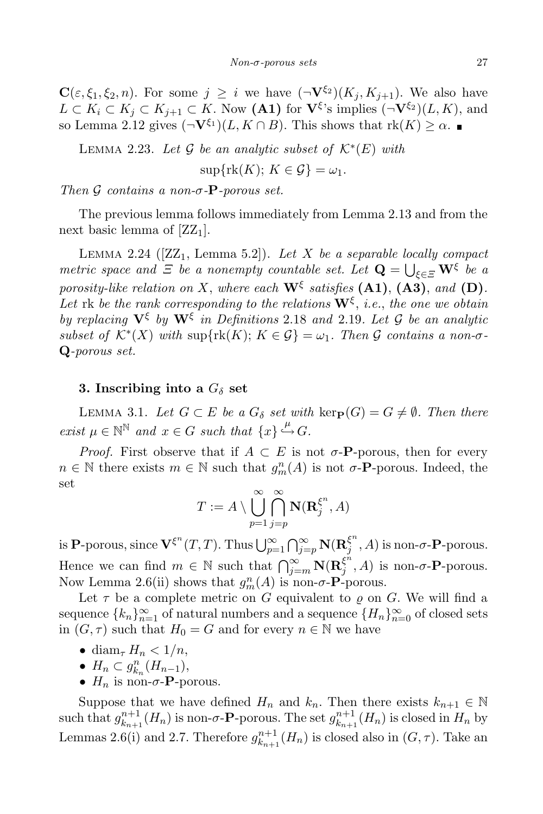$\mathbf{C}(\varepsilon,\xi_1,\xi_2,n)$ . For some  $j \geq i$  we have  $(\neg \mathbf{V}^{\xi_2})(K_i,K_{i+1})$ . We also have  $L \subset K_i \subset K_j \subset K_{j+1} \subset K$ . Now  $(\mathbf{A1})$  for  $\mathbf{V}^{\xi}$ 's implies  $(\neg \mathbf{V}^{\xi_2})(L, K)$ , and so Lemma 2.12 gives  $(\neg \mathbf{V}^{\xi_1})(L, K \cap B)$ . This shows that  $\text{rk}(K) \geq \alpha$ .

LEMMA 2.23. Let  $\mathcal G$  be an analytic subset of  $\mathcal K^*(E)$  with

$$
\sup\{\text{rk}(K); K \in \mathcal{G}\} = \omega_1.
$$

Then G contains a non- $\sigma$ -P-porous set.

The previous lemma follows immediately from Lemma 2.13 and from the next basic lemma of  $[ZZ_1]$ .

LEMMA 2.24 ( $[ZZ_1, \text{ Lemma 5.2}]$ ). Let X be a separable locally compact metric space and  $\Xi$  be a nonempty countable set. Let  $\mathbf{Q} = \bigcup_{\xi \in \Xi} \mathbf{W}^{\xi}$  be a porosity-like relation on X, where each  $\mathbf{W}^{\xi}$  satisfies  $(\mathbf{A1}), (\mathbf{A3}),$  and  $(\mathbf{D}).$ Let  $\mathop{\text{rk}}$  be the rank corresponding to the relations  $\mathbf{W}^{\xi}$ , i.e., the one we obtain by replacing  $V^{\xi}$  by  $W^{\xi}$  in Definitions 2.18 and 2.19. Let G be an analytic subset of  $\mathcal{K}^*(X)$  with  $\sup\{\text{rk}(K); K \in \mathcal{G}\} = \omega_1$ . Then  $\mathcal G$  contains a non- $\sigma$ -Q-porous set.

### 3. Inscribing into a  $G_{\delta}$  set

LEMMA 3.1. Let  $G \subset E$  be a  $G_{\delta}$  set with  $\text{ker}_{\mathbf{P}}(G) = G \neq \emptyset$ . Then there  $\text{exist } \mu \in \mathbb{N}^{\mathbb{N}} \text{ and } x \in G \text{ such that } \{x\} \stackrel{\mu}{\hookrightarrow} G.$ 

*Proof.* First observe that if  $A \subset E$  is not  $\sigma$ -**P**-porous, then for every  $n \in \mathbb{N}$  there exists  $m \in \mathbb{N}$  such that  $g_m^n(A)$  is not  $\sigma$ -**P**-porous. Indeed, the set

$$
T := A \setminus \bigcup_{p=1}^{\infty} \bigcap_{j=p}^{\infty} \mathbf{N}(\mathbf{R}_j^{\xi^n}, A)
$$

is P-porous, since  ${\bf V}^{\xi^n}(T,T)$ . Thus  $\bigcup_{p=1}^\infty \bigcap_{j=p}^\infty {\bf N}({\bf R}_j^{\xi^n})$  $\mathcal{F}_j^{\varsigma}$ , A) is non- $\sigma$ -**P**-porous. Hence we can find  $m \in \mathbb{N}$  such that  $\bigcap_{j=m}^{\infty} \mathbf{N}(\mathbf{R}_j^{\xi^n})$  $\mathcal{F}_j^{\varsigma}$ , A) is non- $\sigma$ -**P**-porous. Now Lemma 2.6(ii) shows that  $g_m^n(A)$  is non- $\sigma$ - $\mathbf{P}$ -porous.

Let  $\tau$  be a complete metric on G equivalent to  $\varrho$  on G. We will find a sequence  ${k_n}_{n=1}^{\infty}$  of natural numbers and a sequence  ${H_n}_{n=0}^{\infty}$  of closed sets in  $(G, \tau)$  such that  $H_0 = G$  and for every  $n \in \mathbb{N}$  we have

- diam<sub> $\tau$ </sub>  $H_n < 1/n$ ,
- $H_n \subset g_{k_n}^n(H_{n-1}),$
- $H_n$  is non- $\sigma$ -**P**-porous.

Suppose that we have defined  $H_n$  and  $k_n$ . Then there exists  $k_{n+1} \in \mathbb{N}$ such that  $g_{k_n+1}^{n+1}$  $\binom{n+1}{k_{n+1}}(H_n)$  is non- $\sigma$ -**P**-porous. The set  $g_{k_{n+1}}^{n+1}$  $_{k_{n+1}}^{n+1}(H_n)$  is closed in  $H_n$  by Lemmas 2.6(i) and 2.7. Therefore  $g_{k_n}^{n+1}$  $\binom{n+1}{k_{n+1}}(H_n)$  is closed also in  $(G,\tau)$ . Take an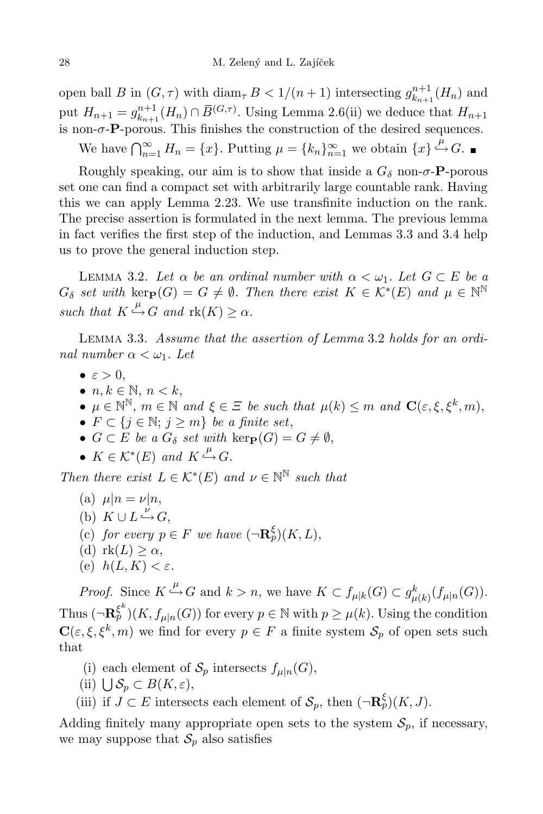open ball B in  $(G, \tau)$  with  $\text{diam}_{\tau} B < 1/(n+1)$  intersecting  $g_{k_{n+1}}^{n+1}$  $\binom{n+1}{k_{n+1}}(H_n)$  and put  $H_{n+1} = g_{k_{n+1}}^{n+1}$  $k_{n+1}^{n+1}(H_n) \cap \overline{B}^{(G,\tau)}$ . Using Lemma 2.6(ii) we deduce that  $H_{n+1}$ is non- $\sigma$ -**P**-porous. This finishes the construction of the desired sequences.

We have  $\bigcap_{n=1}^{\infty} H_n = \{x\}$ . Putting  $\mu = \{k_n\}_{n=1}^{\infty}$  we obtain  $\{x\} \stackrel{\mu}{\hookrightarrow} G$ .

Roughly speaking, our aim is to show that inside a  $G_{\delta}$  non- $\sigma$ -P-porous set one can find a compact set with arbitrarily large countable rank. Having this we can apply Lemma 2.23. We use transfinite induction on the rank. The precise assertion is formulated in the next lemma. The previous lemma in fact verifies the first step of the induction, and Lemmas 3.3 and 3.4 help us to prove the general induction step.

LEMMA 3.2. Let  $\alpha$  be an ordinal number with  $\alpha < \omega_1$ . Let  $G \subset E$  be a  $G_{\delta}$  set with  $\text{ker}_{\mathbf{P}}(G) = G \neq \emptyset$ . Then there exist  $K \in \mathcal{K}^{*}(E)$  and  $\mu \in \mathbb{N}^{\mathbb{N}}$ such that  $K \xrightarrow{\mu} G$  and  $\text{rk}(K) \geq \alpha$ .

Lemma 3.3. Assume that the assertion of Lemma 3.2 holds for an ordinal number  $\alpha < \omega_1$ . Let

- $\bullet \varepsilon > 0$ ,
- $n, k \in \mathbb{N}, n < k$ ,
- $\mu \in \mathbb{N}^{\mathbb{N}}, m \in \mathbb{N}$  and  $\xi \in \Xi$  be such that  $\mu(k) \leq m$  and  $\mathbf{C}(\varepsilon, \xi, \xi^k, m)$ ,
- $F \subset \{j \in \mathbb{N}; j \geq m\}$  be a finite set,
- $G \subset E$  be a  $G_{\delta}$  set with  $\text{ker}_{\mathbf{P}}(G) = G \neq \emptyset$ ,
- $K \in \mathcal{K}^*(E)$  and  $K \xrightarrow{\mu} G$ .

Then there exist  $L \in \mathcal{K}^*(E)$  and  $\nu \in \mathbb{N}^{\mathbb{N}}$  such that

- (a)  $\mu|n = \nu|n$ , (b)  $K \cup L \xrightarrow{\nu} G$ ,
- (c) for every  $p \in F$  we have  $(\neg \mathbf{R}_p^{\xi})(K, L)$ ,
- (d)  $rk(L) \geq \alpha$ ,
- (e)  $h(L, K) < \varepsilon$ .

*Proof.* Since  $K \xrightarrow{\mu} G$  and  $k > n$ , we have  $K \subset f_{\mu|k}(G) \subset g_{\mu(k)}^k(f_{\mu|n}(G)).$ Thus  $\left(\neg \mathbf{R}_{p}^{\xi^{k}}\right)(K, f_{\mu|n}(G))$  for every  $p \in \mathbb{N}$  with  $p \geq \mu(k)$ . Using the condition  $\mathbf{C}(\varepsilon,\xi,\xi^k,m)$  we find for every  $p \in F$  a finite system  $\mathcal{S}_p$  of open sets such that

- (i) each element of  $S_p$  intersects  $f_{\mu|n}(G)$ ,
- (ii)  $\bigcup \mathcal{S}_p \subset B(K,\varepsilon),$
- (iii) if  $J \subset E$  intersects each element of  $\mathcal{S}_p$ , then  $(\neg \mathbf{R}_p^{\xi})(K, J)$ .

Adding finitely many appropriate open sets to the system  $S_p$ , if necessary, we may suppose that  $\mathcal{S}_p$  also satisfies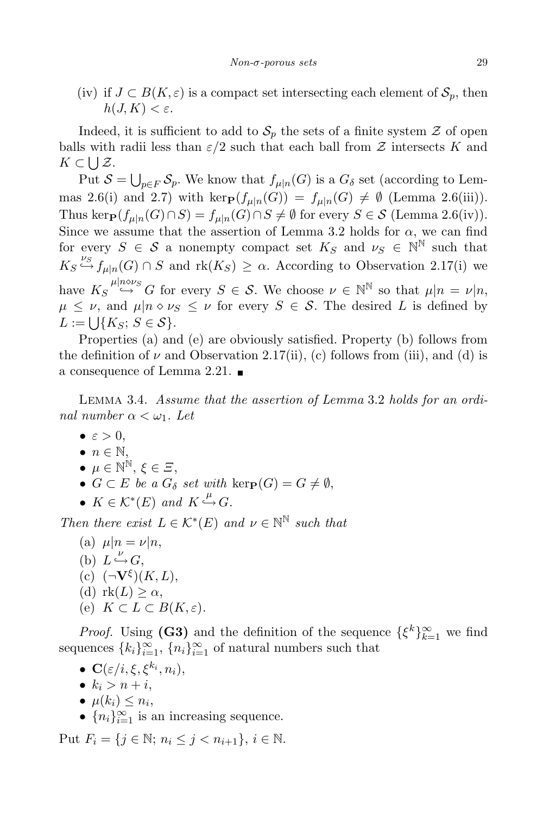(iv) if  $J \subset B(K, \varepsilon)$  is a compact set intersecting each element of  $S_p$ , then  $h(J, K) < \varepsilon$ .

Indeed, it is sufficient to add to  $S_p$  the sets of a finite system  $\mathcal Z$  of open balls with radii less than  $\varepsilon/2$  such that each ball from  $\mathcal Z$  intersects K and  $K \subset \bigcup \mathcal{Z}$ .

Put  $S = \bigcup_{p \in F} S_p$ . We know that  $f_{\mu|n}(G)$  is a  $G_{\delta}$  set (according to Lemmas 2.6(i) and 2.7) with kerp $(f_{\mu|n}(G)) = f_{\mu|n}(G) \neq \emptyset$  (Lemma 2.6(iii)). Thus ker $_{\mathbf{P}}(f_{\mu|n}(G) \cap S) = f_{\mu|n}(G) \cap S \neq \emptyset$  for every  $S \in \mathcal{S}$  (Lemma 2.6(iv)). Since we assume that the assertion of Lemma 3.2 holds for  $\alpha$ , we can find for every  $S \in \mathcal{S}$  a nonempty compact set  $K_S$  and  $\nu_S \in \mathbb{N}^{\mathbb{N}}$  such that  $K_S \stackrel{\nu_S}{\hookrightarrow} f_{\mu|n}(G) \cap S$  and  $\text{rk}(K_S) \geq \alpha$ . According to Observation 2.17(i) we have  $K_S \stackrel{\mu|n \circ \nu_S}{\hookrightarrow} G$  for every  $S \in \mathcal{S}$ . We choose  $\nu \in \mathbb{N}^{\mathbb{N}}$  so that  $\mu|n = \nu|n$ ,  $\mu \leq \nu$ , and  $\mu | n \diamond \nu_S \leq \nu$  for every  $S \in \mathcal{S}$ . The desired L is defined by  $L := \bigcup \{ K_S ; S \in \mathcal{S} \}.$ 

Properties (a) and (e) are obviously satisfied. Property (b) follows from the definition of  $\nu$  and Observation 2.17(ii), (c) follows from (iii), and (d) is a consequence of Lemma 2.21.

Lemma 3.4. Assume that the assertion of Lemma 3.2 holds for an ordinal number  $\alpha < \omega_1$ . Let

- $\bullet \varepsilon > 0$ .
- $\bullet$   $n \in \mathbb{N}$ ,
- $\mu \in \mathbb{N}^{\mathbb{N}}, \xi \in \Xi$ ,
- $G \subset E$  be a  $G_{\delta}$  set with kerp $(G) = G \neq \emptyset$ ,
- $K \in \mathcal{K}^*(E)$  and  $K \xrightarrow{\mu} G$ .

Then there exist  $L \in \mathcal{K}^*(E)$  and  $\nu \in \mathbb{N}^{\mathbb{N}}$  such that

(a)  $\mu|n = \nu|n$ , (b)  $L \xrightarrow{\nu} G$ , (c)  $(\neg \mathbf{V}^{\xi})(K,L),$ (d)  $rk(L) \geq \alpha$ , (e)  $K \subset L \subset B(K,\varepsilon)$ .

*Proof.* Using (G3) and the definition of the sequence  $\{\xi^k\}_{k=1}^{\infty}$  we find sequences  $\{k_i\}_{i=1}^{\infty}$ ,  $\{n_i\}_{i=1}^{\infty}$  of natural numbers such that

- $\bullet \ \mathbf{C}(\varepsilon/i, \xi, \xi^{k_i}, n_i),$
- $k_i > n+i$ ,
- $\mu(k_i) \leq n_i$ ,
- $\{n_i\}_{i=1}^{\infty}$  is an increasing sequence.

Put  $F_i = \{ j \in \mathbb{N}; n_i \le j < n_{i+1} \}, i \in \mathbb{N}.$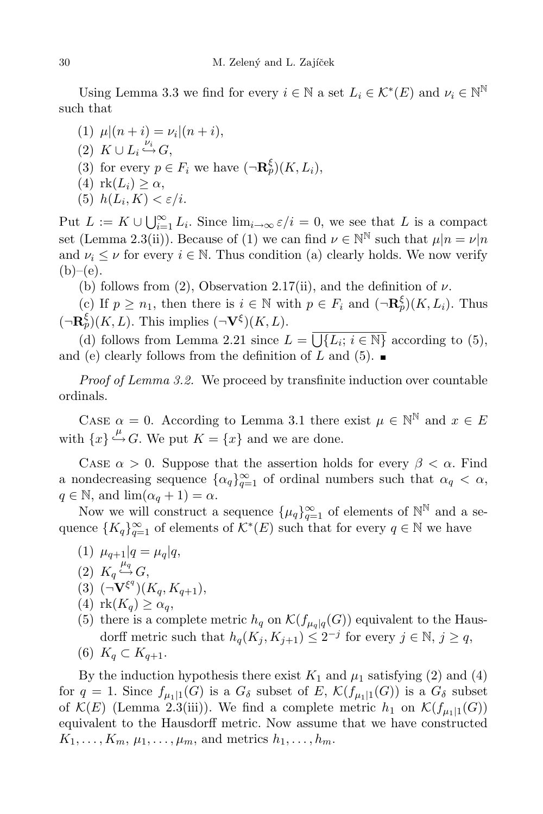Using Lemma 3.3 we find for every  $i \in \mathbb{N}$  a set  $L_i \in \mathcal{K}^*(E)$  and  $\nu_i \in \mathbb{N}^{\mathbb{N}}$ such that

(1)  $\mu|(n+i) = \nu_i|(n+i),$ (2)  $K \cup L_i \stackrel{\nu_i}{\hookrightarrow} G,$ (3) for every  $p \in F_i$  we have  $(\neg \mathbf{R}_p^{\xi})(K, L_i)$ , (4)  $rk(L_i) \geq \alpha$ ,

(5)  $h(L_i, K) < \varepsilon/i$ .

Put  $L := K \cup \bigcup_{i=1}^{\infty} L_i$ . Since  $\lim_{i \to \infty} \varepsilon/i = 0$ , we see that L is a compact set (Lemma 2.3(ii)). Because of (1) we can find  $\nu \in \mathbb{N}^{\mathbb{N}}$  such that  $\mu | n = \nu | n$ and  $\nu_i \leq \nu$  for every  $i \in \mathbb{N}$ . Thus condition (a) clearly holds. We now verify  $(b)–(e).$ 

(b) follows from (2), Observation 2.17(ii), and the definition of  $\nu$ .

(c) If  $p \geq n_1$ , then there is  $i \in \mathbb{N}$  with  $p \in F_i$  and  $(\neg \mathbf{R}_p^{\xi})(K, L_i)$ . Thus  $(\neg \mathbf{R}_p^{\xi})(K, L)$ . This implies  $(\neg \mathbf{V}^{\xi})(K, L)$ .

(d) follows from Lemma 2.21 since  $L = \overline{\bigcup\{L_i; i \in \mathbb{N}\}}$  according to (5), and (e) clearly follows from the definition of L and  $(5)$ .

Proof of Lemma 3.2. We proceed by transfinite induction over countable ordinals.

CASE  $\alpha = 0$ . According to Lemma 3.1 there exist  $\mu \in \mathbb{N}^{\mathbb{N}}$  and  $x \in E$ with  $\{x\} \stackrel{\mu}{\hookrightarrow} G$ . We put  $K = \{x\}$  and we are done.

CASE  $\alpha > 0$ . Suppose that the assertion holds for every  $\beta < \alpha$ . Find a nondecreasing sequence  $\{\alpha_q\}_{q=1}^{\infty}$  of ordinal numbers such that  $\alpha_q < \alpha$ ,  $q \in \mathbb{N}$ , and  $\lim_{\alpha q} ( \alpha_q + 1 ) = \alpha$ .

Now we will construct a sequence  $\{\mu_q\}_{q=1}^{\infty}$  of elements of  $\mathbb{N}^{\mathbb{N}}$  and a sequence  ${K_q}_{q=1}^{\infty}$  of elements of  $\mathcal{K}^*(E)$  such that for every  $q \in \mathbb{N}$  we have

- (1)  $\mu_{q+1}|q = \mu_q|q,$
- (2)  $K_q \stackrel{\mu_q}{\hookrightarrow} G$ ,
- (3)  $(\neg \mathbf{V}^{\xi^q})(K_q, K_{q+1}),$
- (4)  $rk(K_q) \geq \alpha_q$ ,
- (5) there is a complete metric  $h_q$  on  $\mathcal{K}(f_{\mu_q|q}(G))$  equivalent to the Hausdorff metric such that  $h_q(K_j, K_{j+1}) \leq 2^{-j}$  for every  $j \in \mathbb{N}, j \geq q$ ,
- (6)  $K_q \subset K_{q+1}$ .

By the induction hypothesis there exist  $K_1$  and  $\mu_1$  satisfying (2) and (4) for  $q = 1$ . Since  $f_{\mu_1|1}(G)$  is a  $G_{\delta}$  subset of E,  $\mathcal{K}(f_{\mu_1|1}(G))$  is a  $G_{\delta}$  subset of  $\mathcal{K}(E)$  (Lemma 2.3(iii)). We find a complete metric  $h_1$  on  $\mathcal{K}(f_{\mu_1|1}(G))$ equivalent to the Hausdorff metric. Now assume that we have constructed  $K_1, \ldots, K_m, \mu_1, \ldots, \mu_m$ , and metrics  $h_1, \ldots, h_m$ .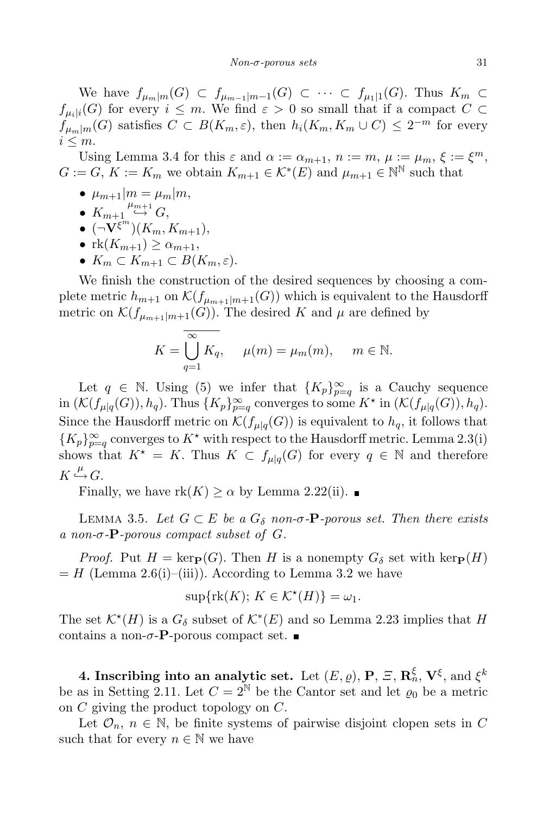We have  $f_{\mu_m|m}(G) \subset f_{\mu_{m-1}|m-1}(G) \subset \cdots \subset f_{\mu_1|1}(G)$ . Thus  $K_m \subset$  $f_{\mu_i|i}(G)$  for every  $i \leq m$ . We find  $\varepsilon > 0$  so small that if a compact  $C \subset$  $f_{\mu_m|m}(G)$  satisfies  $C \subset B(K_m, \varepsilon)$ , then  $h_i(K_m, K_m \cup C) \leq 2^{-m}$  for every  $i \leq m$ .

Using Lemma 3.4 for this  $\varepsilon$  and  $\alpha := \alpha_{m+1}, n := m, \mu := \mu_m, \xi := \xi^m$ ,  $G := G, K := K_m$  we obtain  $K_{m+1} \in \mathcal{K}^*(E)$  and  $\mu_{m+1} \in \mathbb{N}^{\mathbb{N}}$  such that

- $\mu_{m+1}|m = \mu_m|m,$
- $K_{m+1} \stackrel{\mu_{m+1}}{\hookrightarrow} G,$
- $\bullet$   $(\neg \mathbf{V}^{\xi^m})(K_m, K_{m+1}),$
- $rk(K_{m+1}) \geq \alpha_{m+1},$
- $K_m \subset K_{m+1} \subset B(K_m, \varepsilon)$ .

We finish the construction of the desired sequences by choosing a complete metric  $h_{m+1}$  on  $\mathcal{K}(f_{\mu_{m+1}|m+1}(G))$  which is equivalent to the Hausdorff metric on  $\mathcal{K}(f_{\mu_{m+1}|m+1}(G))$ . The desired K and  $\mu$  are defined by

$$
K = \bigcup_{q=1}^{\infty} K_q, \quad \mu(m) = \mu_m(m), \quad m \in \mathbb{N}.
$$

Let  $q \in \mathbb{N}$ . Using (5) we infer that  $\{K_p\}_{p=q}^{\infty}$  is a Cauchy sequence in  $(\mathcal{K}(f_{\mu|q}(G)), h_q)$ . Thus  $\{K_p\}_{p=q}^{\infty}$  converges to some  $K^*$  in  $(\mathcal{K}(f_{\mu|q}(G)), h_q)$ . Since the Hausdorff metric on  $\mathcal{K}(f_{\mu|q}(G))$  is equivalent to  $h_q$ , it follows that  ${K_p}_{p=q}$  converges to  $K^*$  with respect to the Hausdorff metric. Lemma 2.3(i) shows that  $K^* = K$ . Thus  $K \subset f_{\mu|q}(G)$  for every  $q \in \mathbb{N}$  and therefore  $K \stackrel{\mu}{\hookrightarrow} G.$ 

Finally, we have  $rk(K) \ge \alpha$  by Lemma 2.22(ii).

LEMMA 3.5. Let  $G \subset E$  be a  $G_{\delta}$  non- $\sigma$ -**P**-porous set. Then there exists a non- $\sigma$ - $P$ -porous compact subset of G.

*Proof.* Put  $H = \text{ker}_{\mathbf{P}}(G)$ . Then H is a nonempty  $G_{\delta}$  set with  $\text{ker}_{\mathbf{P}}(H)$  $=$  H (Lemma 2.6(i)–(iii)). According to Lemma 3.2 we have

$$
\sup\{\operatorname{rk}(K); \, K\in \mathcal{K}^{\star}(H)\}=\omega_1.
$$

The set  $\mathcal{K}^*(H)$  is a  $G_{\delta}$  subset of  $\mathcal{K}^*(E)$  and so Lemma 2.23 implies that H contains a non- $\sigma$ -P-porous compact set.

4. Inscribing into an analytic set. Let  $(E,\varrho),$   ${\bf P},$   $\varXi,$   ${\bf R}_n^{\xi},$   ${\bf V}^{\xi},$  and  $\xi^k$ be as in Setting 2.11. Let  $C = 2^{\mathbb{N}}$  be the Cantor set and let  $\varrho_0$  be a metric on C giving the product topology on C.

Let  $\mathcal{O}_n$ ,  $n \in \mathbb{N}$ , be finite systems of pairwise disjoint clopen sets in C such that for every  $n \in \mathbb{N}$  we have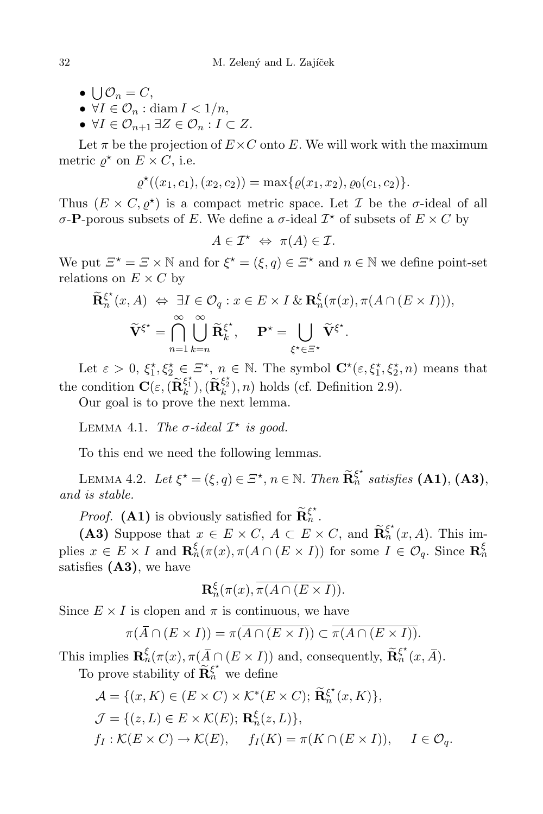- $\bigcup_{n=0}^{\infty} \mathcal{O}_n = C,$
- $\forall I \in \mathcal{O}_n : \text{diam } I < 1/n,$
- $\forall I \in \mathcal{O}_{n+1} \exists Z \in \mathcal{O}_n : I \subset Z.$

Let  $\pi$  be the projection of  $E \times C$  onto E. We will work with the maximum metric  $\varrho^*$  on  $E \times C$ , i.e.

$$
\varrho^{\star}((x_1, c_1), (x_2, c_2)) = \max\{\varrho(x_1, x_2), \varrho_0(c_1, c_2)\}.
$$

Thus  $(E \times C, \varrho^*)$  is a compact metric space. Let  $\mathcal I$  be the  $\sigma$ -ideal of all  $\sigma$ -**P**-porous subsets of *E*. We define a  $\sigma$ -ideal  $\mathcal{I}^*$  of subsets of  $E \times C$  by

$$
A\in\mathcal{I}^\star\ \Leftrightarrow\ \pi(A)\in\mathcal{I}.
$$

We put  $\mathcal{Z}^* = \mathcal{Z} \times \mathbb{N}$  and for  $\xi^* = (\xi, q) \in \mathcal{Z}^*$  and  $n \in \mathbb{N}$  we define point-set relations on  $E \times C$  by

$$
\widetilde{\mathbf{R}}_{n}^{\xi^{*}}(x, A) \Leftrightarrow \exists I \in \mathcal{O}_{q} : x \in E \times I \& \mathbf{R}_{n}^{\xi}(\pi(x), \pi(A \cap (E \times I))),
$$
\n
$$
\widetilde{\mathbf{V}}^{\xi^{*}} = \bigcap_{n=1}^{\infty} \bigcup_{k=n}^{\infty} \widetilde{\mathbf{R}}_{k}^{\xi^{*}}, \quad \mathbf{P}^{*} = \bigcup_{\xi^{*} \in \Xi^{*}} \widetilde{\mathbf{V}}^{\xi^{*}}.
$$

Let  $\varepsilon > 0$ ,  $\xi_1^*, \xi_2^* \in \mathbb{Z}^*, n \in \mathbb{N}$ . The symbol  $\mathbf{C}^*(\varepsilon, \xi_1^*, \xi_2^*, n)$  means that the condition  $\mathbf{C}(\varepsilon, \widetilde{(\mathbf{R}_k^{\xi_1})}, \widetilde{(\mathbf{R}_k^{\xi_2})}, n)$  holds (cf. Definition 2.9).

Our goal is to prove the next lemma.

LEMMA 4.1. The  $\sigma$ -ideal  $\mathcal{I}^*$  is good.

To this end we need the following lemmas.

LEMMA 4.2. Let  $\xi^* = (\xi, q) \in \Xi^*$ ,  $n \in \mathbb{N}$ . Then  $\widetilde{\mathbf{R}}_n^{\xi^*}$  satisfies (A1), (A3), and is stable.

*Proof.* (A1) is obviously satisfied for  $\widetilde{\mathbf{R}}_n^{\xi^*}$ .

(A3) Suppose that  $x \in E \times C$ ,  $A \subset E \times C$ , and  $\widetilde{\mathbf{R}}_n^{\xi^*}(x, A)$ . This implies  $x \in E \times I$  and  $\mathbf{R}_n^{\xi}(\pi(x), \pi(A \cap (E \times I))$  for some  $I \in \mathcal{O}_q$ . Since  $\mathbf{R}_n^{\xi}$ satisfies  $(A3)$ , we have

$$
\mathbf{R}_n^{\xi}(\pi(x), \overline{\pi(A \cap (E \times I))}).
$$

Since  $E \times I$  is clopen and  $\pi$  is continuous, we have

$$
\pi(\overline{A} \cap (E \times I)) = \pi(\overline{A \cap (E \times I)}) \subset \overline{\pi(A \cap (E \times I))}.
$$

This implies  $\mathbf{R}_{n}^{\xi}(\pi(x), \pi(\overline{A} \cap (E \times I)))$  and, consequently,  $\widetilde{\mathbf{R}}_{n}^{\xi^{*}}(x, \overline{A})$ .

To prove stability of  $\widetilde{\mathbf{R}}_n^{\xi^*}$  we define

$$
\mathcal{A} = \{(x, K) \in (E \times C) \times \mathcal{K}^*(E \times C); \widetilde{\mathbf{R}}_n^{\xi^*}(x, K)\},\
$$
  

$$
\mathcal{J} = \{(z, L) \in E \times \mathcal{K}(E); \mathbf{R}_n^{\xi}(z, L)\},\
$$
  

$$
f_I : \mathcal{K}(E \times C) \to \mathcal{K}(E), \quad f_I(K) = \pi(K \cap (E \times I)), \quad I \in \mathcal{O}_q.
$$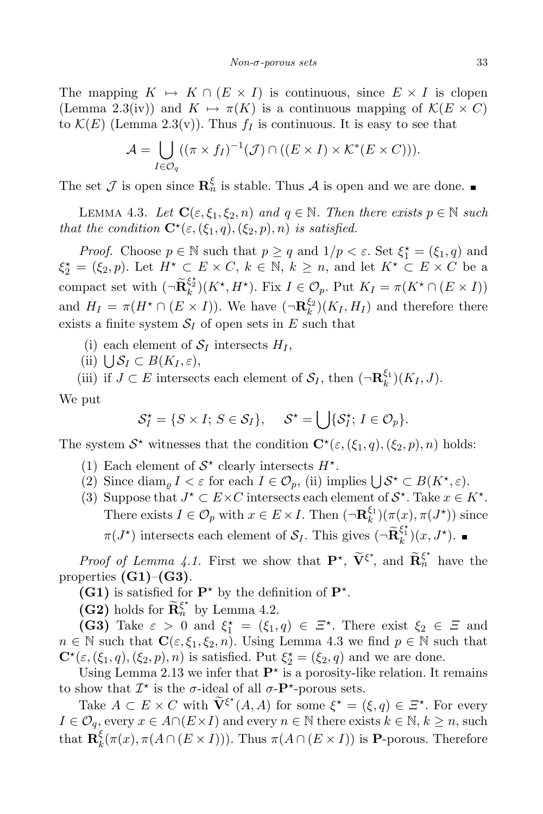The mapping  $K \mapsto K \cap (E \times I)$  is continuous, since  $E \times I$  is clopen (Lemma 2.3(iv)) and  $K \mapsto \pi(K)$  is a continuous mapping of  $\mathcal{K}(E \times C)$ to  $\mathcal{K}(E)$  (Lemma 2.3(v)). Thus  $f_I$  is continuous. It is easy to see that

$$
\mathcal{A} = \bigcup_{I \in \mathcal{O}_q} ((\pi \times f_I)^{-1}(\mathcal{J}) \cap ((E \times I) \times \mathcal{K}^*(E \times C))).
$$

The set  $\mathcal J$  is open since  $\mathbf{R}_n^{\xi}$  is stable. Thus  $\mathcal A$  is open and we are done.

LEMMA 4.3. Let  $\mathbf{C}(\varepsilon,\xi_1,\xi_2,n)$  and  $q \in \mathbb{N}$ . Then there exists  $p \in \mathbb{N}$  such that the condition  $\mathbf{C}^{\star}(\varepsilon,(\xi_1,q),(\xi_2,p),n)$  is satisfied.

*Proof.* Choose  $p \in \mathbb{N}$  such that  $p \ge q$  and  $1/p < \varepsilon$ . Set  $\xi_1^* = (\xi_1, q)$  and  $\xi_2^* = (\xi_2, p)$ . Let  $H^* \subset E \times C$ ,  $k \in \mathbb{N}$ ,  $k \geq n$ , and let  $K^* \subset E \times C$  be a compact set with  $(\neg \widetilde{\mathbf{R}}_k^{\xi_2^*})(K^*, H^*)$ . Fix  $I \in \mathcal{O}_p$ . Put  $K_I = \pi(K^* \cap (E \times I))$ and  $H_I = \pi(H^* \cap (E \times I))$ . We have  $(\neg \mathbf{R}_k^{\xi_2})$  $\binom{S^2}{k}(K_I, H_I)$  and therefore there exists a finite system  $S_I$  of open sets in E such that

- (i) each element of  $S_I$  intersects  $H_I$ ,
- (ii)  $\bigcup \mathcal{S}_I \subset B(K_I, \varepsilon),$

(iii) if  $J \subset E$  intersects each element of  $S_I$ , then  $(\neg \mathbf{R}_k^{\xi_1})$  $_{k}^{\varsigma_{1}})(K_{I},J).$ 

We put

$$
\mathcal{S}_I^{\star} = \{ S \times I; S \in \mathcal{S}_I \}, \quad \mathcal{S}^{\star} = \bigcup \{ \mathcal{S}_I^{\star}; I \in \mathcal{O}_p \}.
$$

The system  $S^*$  witnesses that the condition  $\mathbf{C}^*(\varepsilon, (\xi_1, q), (\xi_2, p), n)$  holds:

- (1) Each element of  $S^*$  clearly intersects  $H^*$ .
- (2) Since  $\text{diam}_{\varrho} I \leq \varepsilon$  for each  $I \in \mathcal{O}_p$ , (ii) implies  $\bigcup \mathcal{S}^{\star} \subset B(K^{\star}, \varepsilon)$ .
- (3) Suppose that  $J^* \subset E \times C$  intersects each element of  $S^*$ . Take  $x \in K^*$ . There exists  $I \in \mathcal{O}_p$  with  $x \in E \times I$ . Then  $(\neg \mathbf{R}_k^{\xi_1})$  $\binom{\xi_1}{k}(\pi(x), \pi(J^{\star}))$  since  $\pi(J^*)$  intersects each element of  $\mathcal{S}_I$ . This gives  $(\neg \widetilde{\mathbf{R}}_k^{\xi_1^*})(x, J^*)$ .

*Proof of Lemma 4.1.* First we show that  $\mathbf{P}^{\star}$ ,  $\widetilde{\mathbf{V}}^{\xi^{\star}}$ , and  $\widetilde{\mathbf{R}}_n^{\xi^{\star}}$  have the properties  $(G1)$ – $(G3)$ .

(G1) is satisfied for  $\mathbf{P}^*$  by the definition of  $\mathbf{P}^*$ .

(G2) holds for  $\widetilde{\mathbf{R}}_n^{\xi^*}$  by Lemma 4.2.

(G3) Take  $\varepsilon > 0$  and  $\xi_1^* = (\xi_1, q) \in \Xi^*$ . There exist  $\xi_2 \in \Xi$  and  $n \in \mathbb{N}$  such that  $\mathbf{C}(\varepsilon, \xi_1, \xi_2, n)$ . Using Lemma 4.3 we find  $p \in \mathbb{N}$  such that  $\mathbf{C}^{\star}(\varepsilon,(\xi_1,q),(\xi_2,p),n)$  is satisfied. Put  $\xi_2^{\star}=(\xi_2,q)$  and we are done.

Using Lemma 2.13 we infer that  $\mathbf{P}^*$  is a porosity-like relation. It remains to show that  $\mathcal{I}^*$  is the  $\sigma$ -ideal of all  $\sigma$ - $\mathbf{P}^*$ -porous sets.

Take  $A \subset E \times C$  with  $\widetilde{\mathbf{V}}^{\xi^*}(A, A)$  for some  $\xi^* = (\xi, q) \in \Xi^*$ . For every  $I \in \mathcal{O}_q$ , every  $x \in A \cap (E \times I)$  and every  $n \in \mathbb{N}$  there exists  $k \in \mathbb{N}, k \geq n$ , such that  $\mathbf{R}_k^{\xi}$  $\frac{\mathcal{E}_k(\pi(x), \pi(A \cap (E \times I)))}{\mathcal{E}_k(\pi(x), \pi(A \cap (E \times I)))}$  is **P**-porous. Therefore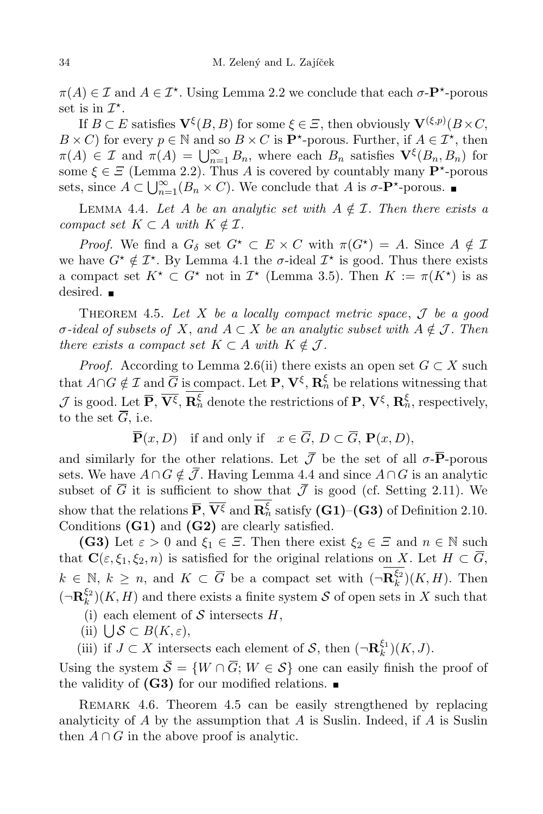$\pi(A) \in \mathcal{I}$  and  $A \in \mathcal{I}^*$ . Using Lemma 2.2 we conclude that each  $\sigma$ - $\mathbf{P}^*$ -porous set is in  $\mathcal{I}^*$ .

If  $B \subset E$  satisfies  $\mathbf{V}^{\xi}(B, B)$  for some  $\xi \in \Xi$ , then obviously  $\mathbf{V}^{(\xi,p)}(B \times C, \mathbf{V})$  $B \times C$  for every  $p \in \mathbb{N}$  and so  $B \times C$  is  $\mathbf{P}^*$ -porous. Further, if  $A \in \mathcal{I}^*$ , then  $\pi(A) \in \mathcal{I}$  and  $\pi(A) = \bigcup_{n=1}^{\infty} B_n$ , where each  $B_n$  satisfies  $\mathbf{V}^{\xi}(B_n, B_n)$  for some  $\xi \in \Xi$  (Lemma 2.2). Thus A is covered by countably many  $\mathbf{P}^*$ -porous sets, since  $A \subset \bigcup_{n=1}^{\infty} (B_n \times C)$ . We conclude that A is  $\sigma$ - $\mathbf{P}^{\star}$ -porous.

LEMMA 4.4. Let A be an analytic set with  $A \notin \mathcal{I}$ . Then there exists a compact set  $K \subset A$  with  $K \notin \mathcal{I}$ .

*Proof.* We find a  $G_{\delta}$  set  $G^{\star} \subset E \times C$  with  $\pi(G^{\star}) = A$ . Since  $A \notin \mathcal{I}$ we have  $G^* \notin \mathcal{I}^*$ . By Lemma 4.1 the  $\sigma$ -ideal  $\mathcal{I}^*$  is good. Thus there exists a compact set  $K^* \subset G^*$  not in  $\mathcal{I}^*$  (Lemma 3.5). Then  $K := \pi(K^*)$  is as desired.  $\blacksquare$ 

THEOREM 4.5. Let X be a locally compact metric space,  $\mathcal J$  be a good  $\sigma$ -ideal of subsets of X, and  $A \subset X$  be an analytic subset with  $A \notin \mathcal{J}$ . Then there exists a compact set  $K \subset A$  with  $K \notin \mathcal{J}$ .

*Proof.* According to Lemma 2.6(ii) there exists an open set  $G \subset X$  such that  $A\cap G \notin \mathcal{I}$  and  $\overline{G}$  is compact. Let  $\mathbf{P}, \mathbf{V}^{\xi}, \mathbf{R}_n^{\xi}$  be relations witnessing that  $\mathcal{J}$  is good. Let  $\overline{\mathbf{P}}, \overline{\mathbf{V}^{\xi}}, \mathbf{R}_{n}^{\xi}$  denote the restrictions of  $\mathbf{P}, \mathbf{V}^{\xi}, \mathbf{R}_{n}^{\xi}$ , respectively, to the set  $\overline{G}$ , i.e.

 $\overline{\mathbf{P}}(x, D)$  if and only if  $x \in \overline{G}$ ,  $D \subset \overline{G}$ ,  $\mathbf{P}(x, D)$ ,

and similarly for the other relations. Let  $\bar{\mathcal{J}}$  be the set of all  $\sigma$ - $\bar{P}$ -porous sets. We have  $A \cap G \notin \overline{\mathcal{J}}$ . Having Lemma 4.4 and since  $A \cap G$  is an analytic subset of  $\overline{G}$  it is sufficient to show that  $\overline{\mathcal{J}}$  is good (cf. Setting 2.11). We show that the relations  $\overline{P}$ ,  $\overline{V^{\xi}}$  and  $\mathbf{R}_n^{\xi}$  satisfy  $(\mathbf{G1})$ – $(\mathbf{G3})$  of Definition 2.10. Conditions (G1) and (G2) are clearly satisfied.

(G3) Let  $\varepsilon > 0$  and  $\xi_1 \in \Xi$ . Then there exist  $\xi_2 \in \Xi$  and  $n \in \mathbb{N}$  such that  $\mathbf{C}(\varepsilon,\xi_1,\xi_2,n)$  is satisfied for the original relations on X. Let  $H \subset \overline{G}$ ,  $k \in \mathbb{N}, k \geq n$ , and  $K \subset \overline{G}$  be a compact set with  $\left(\neg \mathbf{R}_k^{\xi_2}\right)$  $\binom{52}{k}(K,H)$ . Then  $(\neg \mathbf{R}^{\xi_2}_k$  $\binom{S^2}{k}(K, H)$  and there exists a finite system S of open sets in X such that

- (i) each element of  $S$  intersects  $H$ ,
- (ii)  $\bigcup \mathcal{S} \subset B(K, \varepsilon),$

(iii) if  $J \subset X$  intersects each element of  $S$ , then  $(\neg \mathbf{R}_k^{\xi_1})$  $_{k}^{\varsigma_{1}})(K,J).$ 

Using the system  $\overline{S} = \{W \cap \overline{G}; W \in S\}$  one can easily finish the proof of the validity of  $(G3)$  for our modified relations.

REMARK 4.6. Theorem 4.5 can be easily strengthened by replacing analyticity of  $A$  by the assumption that  $A$  is Suslin. Indeed, if  $A$  is Suslin then  $A \cap G$  in the above proof is analytic.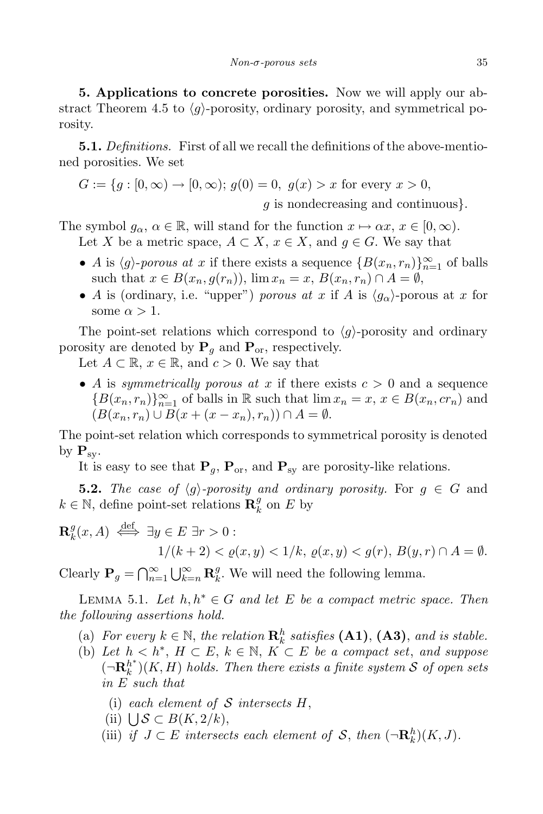5. Applications to concrete porosities. Now we will apply our abstract Theorem 4.5 to  $\langle g \rangle$ -porosity, ordinary porosity, and symmetrical porosity.

**5.1.** Definitions. First of all we recall the definitions of the above-mentioned porosities. We set

$$
G := \{ g : [0, \infty) \to [0, \infty) ; g(0) = 0, g(x) > x \text{ for every } x > 0, \text{ } g \text{ is nondecreasing and continuous} \}.
$$

The symbol  $g_{\alpha}, \alpha \in \mathbb{R}$ , will stand for the function  $x \mapsto \alpha x, x \in [0, \infty)$ .

Let X be a metric space,  $A \subset X$ ,  $x \in X$ , and  $q \in G$ . We say that

- A is  $\langle g \rangle$ -porous at x if there exists a sequence  $\{B(x_n, r_n)\}_{n=1}^{\infty}$  of balls such that  $x \in B(x_n, g(r_n))$ ,  $\lim x_n = x, B(x_n, r_n) \cap A = \emptyset$ ,
- A is (ordinary, i.e. "upper") porous at x if A is  $\langle g_{\alpha} \rangle$ -porous at x for some  $\alpha > 1$ .

The point-set relations which correspond to  $\langle q \rangle$ -porosity and ordinary porosity are denoted by  $P_q$  and  $P_{or}$ , respectively.

Let  $A \subset \mathbb{R}$ ,  $x \in \mathbb{R}$ , and  $c > 0$ . We say that

• A is symmetrically porous at x if there exists  $c > 0$  and a sequence  ${B(x_n, r_n)}_{n=1}^{\infty}$  of balls in R such that  $\lim x_n = x, x \in B(x_n, cr_n)$  and  $(B(x_n, r_n) \cup B(x + (x - x_n), r_n)) \cap A = \emptyset.$ 

The point-set relation which corresponds to symmetrical porosity is denoted by  $\mathbf{P}_{sy}$ .

It is easy to see that  $P_q$ ,  $P_{or}$ , and  $P_{sv}$  are porosity-like relations.

**5.2.** The case of  $\langle g \rangle$ -porosity and ordinary porosity. For  $g \in G$  and  $k \in \mathbb{N}$ , define point-set relations  $\mathbf{R}_{k}^{g}$  $\frac{g}{k}$  on E by

$$
\mathbf{R}_k^g(x, A) \stackrel{\text{def}}{\iff} \exists y \in E \exists r > 0 : \\
1/(k+2) < \varrho(x, y) < 1/k, \, \varrho(x, y) < g(r), \, B(y, r) \cap A = \emptyset.
$$

Clearly  $\mathbf{P}_g = \bigcap_{n=1}^{\infty} \bigcup_{k=n}^{\infty} \mathbf{R}_k^g$  $\frac{g}{k}$ . We will need the following lemma.

LEMMA 5.1. Let  $h, h^* \in G$  and let E be a compact metric space. Then the following assertions hold.

- (a) For every  $k \in \mathbb{N}$ , the relation  $\mathbf{R}_k^h$  satisfies  $(\mathbf{A1})$ ,  $(\mathbf{A3})$ , and is stable.
- (b) Let  $h < h^*$ ,  $H \subset E$ ,  $k \in \mathbb{N}$ ,  $K \subset E$  be a compact set, and suppose  $(\neg \mathbf{R}_k^{h^*})(K, H)$  holds. Then there exists a finite system S of open sets in E such that
	- (i) each element of  $S$  intersects  $H$ ,
	- (ii)  $\bigcup_{s \in \mathbb{R}} S \subset B(K, 2/k),$
	- (iii) if  $J \subset E$  intersects each element of S, then  $(\neg \mathbf{R}_k^h)(K, J)$ .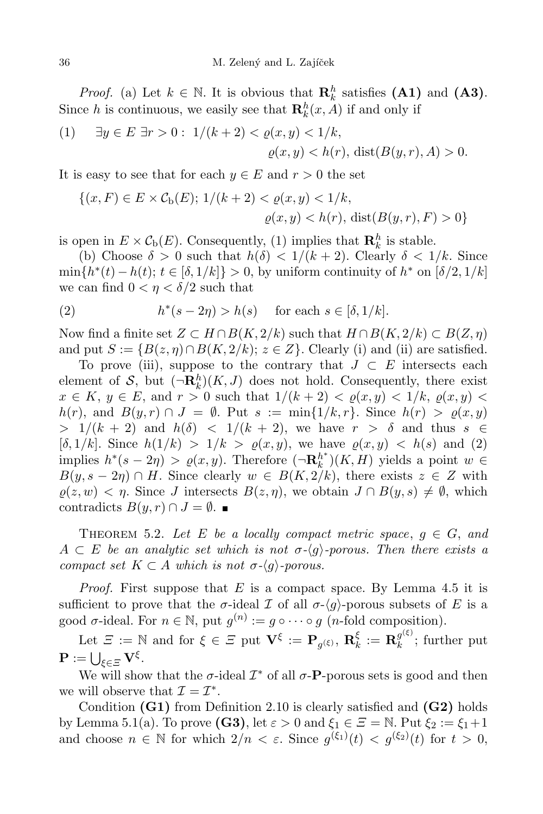*Proof.* (a) Let  $k \in \mathbb{N}$ . It is obvious that  $\mathbf{R}_k^h$  satisfies (A1) and (A3). Since h is continuous, we easily see that  $\mathbf{R}_k^h(x, A)$  if and only if

(1) 
$$
\exists y \in E \; \exists r > 0 : \; 1/(k+2) < \varrho(x, y) < 1/k,
$$
  
\n $\varrho(x, y) < h(r), \; \text{dist}(B(y, r), A) > 0.$ 

It is easy to see that for each  $y \in E$  and  $r > 0$  the set

$$
\{(x, F) \in E \times C_{\mathbf{b}}(E); \ 1/(k+2) < \varrho(x, y) < 1/k, \\
\varrho(x, y) < h(r), \ \text{dist}(B(y, r), F) > 0\}
$$

is open in  $E \times C_b(E)$ . Consequently, (1) implies that  $\mathbf{R}_k^h$  is stable.

(b) Choose  $\delta > 0$  such that  $h(\delta) < 1/(k+2)$ . Clearly  $\delta < 1/k$ . Since  $\min\{h^*(t) - h(t); t \in [\delta, 1/k]\} > 0$ , by uniform continuity of  $h^*$  on  $[\delta/2, 1/k]$ we can find  $0 < \eta < \delta/2$  such that

(2) 
$$
h^*(s-2\eta) > h(s) \quad \text{for each } s \in [\delta, 1/k].
$$

Now find a finite set  $Z \subset H \cap B(K, 2/k)$  such that  $H \cap B(K, 2/k) \subset B(Z, \eta)$ and put  $S := \{B(z, \eta) \cap B(K, 2/k); z \in \mathbb{Z}\}\.$  Clearly (i) and (ii) are satisfied.

To prove (iii), suppose to the contrary that  $J \subset E$  intersects each element of  $S$ , but  $(\neg \mathbf{R}_k^h)(K, J)$  does not hold. Consequently, there exist  $x \in K$ ,  $y \in E$ , and  $r > 0$  such that  $1/(k+2) < \varrho(x,y) < 1/k$ ,  $\varrho(x,y) <$  $h(r)$ , and  $B(y, r) \cap J = \emptyset$ . Put  $s := \min\{1/k, r\}$ . Since  $h(r) > \varrho(x, y)$  $> 1/(k+2)$  and  $h(\delta) < 1/(k+2)$ , we have  $r > \delta$  and thus  $s \in$ [ $\delta$ ,  $1/k$ ]. Since  $h(1/k) > 1/k > \varrho(x, y)$ , we have  $\varrho(x, y) < h(s)$  and (2) implies  $h^*(s-2\eta) > \varrho(x,y)$ . Therefore  $(\neg \mathbf{R}_k^{h^*})(K, H)$  yields a point  $w \in$  $B(y, s-2\eta) \cap H$ . Since clearly  $w \in B(K, 2/k)$ , there exists  $z \in Z$  with  $\rho(z, w) < \eta$ . Since J intersects  $B(z, \eta)$ , we obtain  $J \cap B(y, s) \neq \emptyset$ , which contradicts  $B(y, r) \cap J = \emptyset$ .

THEOREM 5.2. Let E be a locally compact metric space,  $g \in G$ , and  $A \subset E$  be an analytic set which is not  $\sigma \langle q \rangle$ -porous. Then there exists a compact set  $K \subset A$  which is not  $\sigma-\langle q \rangle$ -porous.

*Proof.* First suppose that  $E$  is a compact space. By Lemma 4.5 it is sufficient to prove that the  $\sigma$ -ideal  $\mathcal I$  of all  $\sigma$ - $\langle g \rangle$ -porous subsets of E is a good  $\sigma$ -ideal. For  $n \in \mathbb{N}$ , put  $g^{(n)} := g \circ \cdots \circ g$  (*n*-fold composition).

Let  $\mathcal{Z} := \mathbb{N}$  and for  $\xi \in \mathcal{Z}$  put  $\mathbf{V}^{\xi} := \mathbf{P}_{g(\xi)}, \, \mathbf{R}_{k}^{\xi}$  $\frac{\xi}{k} := \mathbf{R}_k^{g^{(\xi)}}$  $\mathcal{L}_k^{g(s)}$ ; further put  $\mathbf{P} := \bigcup_{\xi \in \Xi} \mathbf{V}^{\xi}.$ 

We will show that the  $\sigma$ -ideal  $\mathcal{I}^*$  of all  $\sigma$ -**P**-porous sets is good and then we will observe that  $\mathcal{I} = \mathcal{I}^*$ .

Condition  $(G1)$  from Definition 2.10 is clearly satisfied and  $(G2)$  holds by Lemma 5.1(a). To prove (G3), let  $\varepsilon > 0$  and  $\xi_1 \in \Xi = \mathbb{N}$ . Put  $\xi_2 := \xi_1 + 1$ and choose  $n \in \mathbb{N}$  for which  $2/n < \varepsilon$ . Since  $g^{(\xi_1)}(t) < g^{(\xi_2)}(t)$  for  $t > 0$ ,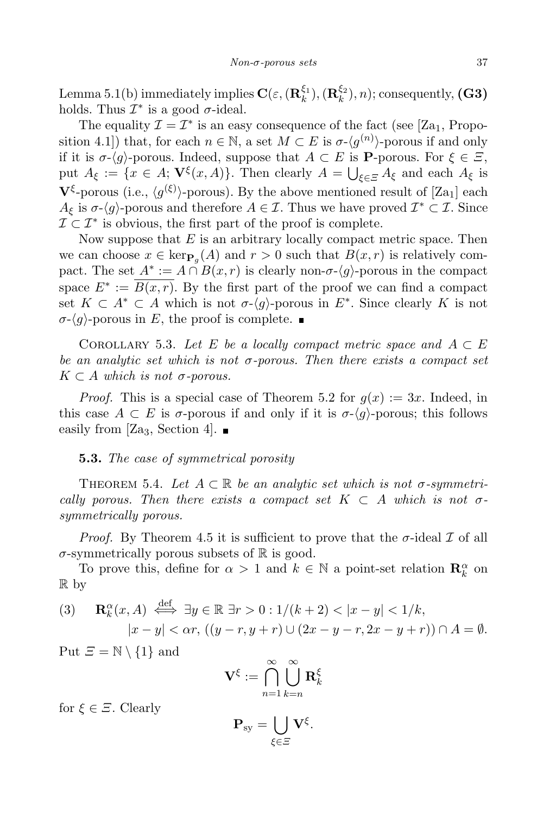Lemma 5.1(b) immediately implies  $\mathbf{C}(\varepsilon, (\mathbf{R}^{\xi_1}_k))$  $(\mathbf{R}_k^{\xi_1}), (\mathbf{R}_k^{\xi_2})$  $\binom{S^2}{k}, n$ ; consequently,  $(G3)$ holds. Thus  $\mathcal{I}^*$  is a good  $\sigma$ -ideal.

The equality  $\mathcal{I} = \mathcal{I}^*$  is an easy consequence of the fact (see [Za<sub>1</sub>, Proposition 4.1]) that, for each  $n \in \mathbb{N}$ , a set  $M \subset E$  is  $\sigma$ - $\langle g^{(n)} \rangle$ -porous if and only if it is  $\sigma$ - $\langle g \rangle$ -porous. Indeed, suppose that  $A \subset E$  is **P**-porous. For  $\xi \in \overline{\mathcal{Z}}$ , put  $A_{\xi} := \{x \in A; \mathbf{V}^{\xi}(x, A)\}.$  Then clearly  $A = \bigcup_{\xi \in \Xi} A_{\xi}$  and each  $A_{\xi}$  is  $\mathbf{V}^{\xi}$ -porous (i.e.,  $\langle g^{(\xi)} \rangle$ -porous). By the above mentioned result of [Za<sub>1</sub>] each  $A_{\xi}$  is  $\sigma$ - $\langle g \rangle$ -porous and therefore  $A \in \mathcal{I}$ . Thus we have proved  $\mathcal{I}^* \subset \mathcal{I}$ . Since  $\mathcal{I} \subset \mathcal{I}^*$  is obvious, the first part of the proof is complete.

Now suppose that  $E$  is an arbitrary locally compact metric space. Then we can choose  $x \in \text{ker}_{\mathbf{P}_g}(A)$  and  $r > 0$  such that  $B(x, r)$  is relatively compact. The set  $A^* := A \cap B(x,r)$  is clearly non- $\sigma \langle g \rangle$ -porous in the compact space  $E^* := B(x,r)$ . By the first part of the proof we can find a compact set  $K \subset A^* \subset A$  which is not  $\sigma$ - $\langle g \rangle$ -porous in  $E^*$ . Since clearly K is not  $\sigma$ - $\langle q \rangle$ -porous in E, the proof is complete.

COROLLARY 5.3. Let E be a locally compact metric space and  $A \subset E$ be an analytic set which is not  $\sigma$ -porous. Then there exists a compact set  $K \subset A$  which is not  $\sigma$ -porous.

*Proof.* This is a special case of Theorem 5.2 for  $g(x) := 3x$ . Indeed, in this case  $A \subset E$  is  $\sigma$ -porous if and only if it is  $\sigma$ - $\langle q \rangle$ -porous; this follows easily from [Za<sub>3</sub>, Section 4].  $\blacksquare$ 

### **5.3.** The case of symmetrical porosity

THEOREM 5.4. Let  $A \subset \mathbb{R}$  be an analytic set which is not  $\sigma$ -symmetrically porous. Then there exists a compact set  $K \subset A$  which is not  $\sigma$ symmetrically porous.

*Proof.* By Theorem 4.5 it is sufficient to prove that the  $\sigma$ -ideal  $\mathcal I$  of all  $\sigma$ -symmetrically porous subsets of  $\mathbb R$  is good.

To prove this, define for  $\alpha > 1$  and  $k \in \mathbb{N}$  a point-set relation  $\mathbf{R}_{k}^{\alpha}$  on R by

(3) 
$$
\mathbf{R}_k^{\alpha}(x, A) \stackrel{\text{def}}{\iff} \exists y \in \mathbb{R} \; \exists r > 0 : 1/(k+2) < |x - y| < 1/k,
$$
  
\n $|x - y| < \alpha r, ((y - r, y + r) \cup (2x - y - r, 2x - y + r)) \cap A = \emptyset.$ 

Put  $\Xi = \mathbb{N} \setminus \{1\}$  and

$$
\mathbf{V}^{\xi}:=\bigcap_{n=1}^{\infty}\bigcup_{k=n}^{\infty}\mathbf{R}_{k}^{\xi}
$$

for  $\xi \in \Xi$ . Clearly

$$
\mathbf{P}_{\rm sy} = \bigcup_{\xi \in \Xi} \mathbf{V}^{\xi}.
$$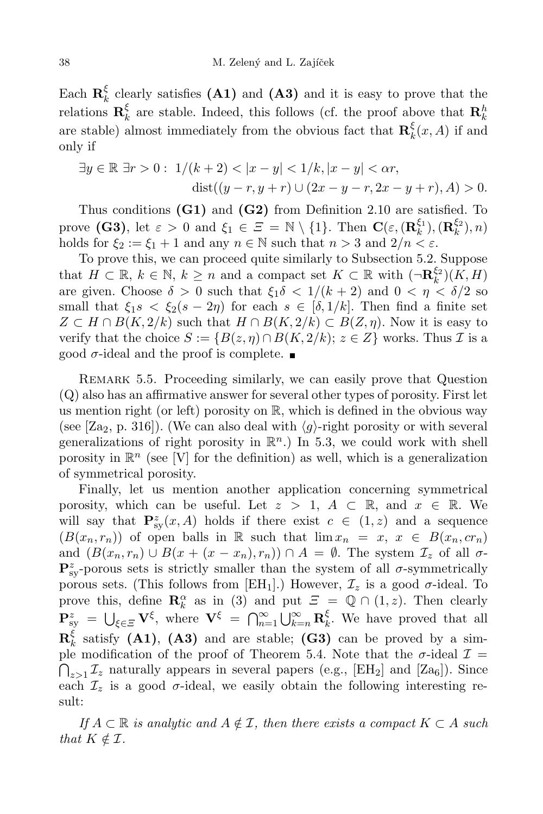Each  $\mathbf{R}_k^{\xi}$  $\frac{1}{k}$  clearly satisfies (A1) and (A3) and it is easy to prove that the relations  $\mathbf{R}_{k}^{\xi}$  $\frac{k}{k}$  are stable. Indeed, this follows (cf. the proof above that  $\mathbf{R}_k^h$ are stable) almost immediately from the obvious fact that  $\mathbf{R}_{k}^{\xi}$  $\frac{\varsigma}{k}(x, A)$  if and only if

$$
\exists y \in \mathbb{R} \; \exists r > 0: \; 1/(k+2) < |x - y| < 1/k, |x - y| < \alpha r, \\
\text{dist}((y - r, y + r) \cup (2x - y - r, 2x - y + r), A) > 0.
$$

Thus conditions  $(G1)$  and  $(G2)$  from Definition 2.10 are satisfied. To prove (G3), let  $\varepsilon > 0$  and  $\xi_1 \in \Xi = \mathbb{N} \setminus \{1\}$ . Then  $\mathbf{C}(\varepsilon, (\mathbf{R}_k^{\xi_1})$  $(\mathbf{R}_k^{\xi_1}), (\mathbf{R}_k^{\xi_2})$  $\binom{52}{k}, n$ holds for  $\xi_2 := \xi_1 + 1$  and any  $n \in \mathbb{N}$  such that  $n > 3$  and  $2/n < \varepsilon$ .

To prove this, we can proceed quite similarly to Subsection 5.2. Suppose that  $H \subset \mathbb{R}, k \in \mathbb{N}, k \geq n$  and a compact set  $K \subset \mathbb{R}$  with  $\left(\neg \mathbf{R}_k^{\xi_2}\right)$  $_{k}^{\varsigma_{2}})(K,H)$ are given. Choose  $\delta > 0$  such that  $\xi_1 \delta < 1/(k+2)$  and  $0 < \eta < \delta/2$  so small that  $\xi_1 s < \xi_2 (s - 2\eta)$  for each  $s \in [\delta, 1/k]$ . Then find a finite set  $Z \subset H \cap B(K, 2/k)$  such that  $H \cap B(K, 2/k) \subset B(Z, \eta)$ . Now it is easy to verify that the choice  $S := \{B(z, \eta) \cap B(K, 2/k); z \in \mathbb{Z}\}\)$  works. Thus  $\mathcal I$  is a good  $\sigma$ -ideal and the proof is complete.

Remark 5.5. Proceeding similarly, we can easily prove that Question (Q) also has an affirmative answer for several other types of porosity. First let us mention right (or left) porosity on  $\mathbb{R}$ , which is defined in the obvious way (see [Za<sub>2</sub>, p. 316]). (We can also deal with  $\langle g \rangle$ -right porosity or with several generalizations of right porosity in  $\mathbb{R}^n$ .) In 5.3, we could work with shell porosity in  $\mathbb{R}^n$  (see [V] for the definition) as well, which is a generalization of symmetrical porosity.

Finally, let us mention another application concerning symmetrical porosity, which can be useful. Let  $z > 1$ ,  $A \subset \mathbb{R}$ , and  $x \in \mathbb{R}$ . We will say that  $\mathbf{P}_{\text{sy}}^z(x, A)$  holds if there exist  $c \in (1, z)$  and a sequence  $(B(x_n, r_n))$  of open balls in R such that  $\lim x_n = x, x \in B(x_n, cr_n)$ and  $(B(x_n, r_n) \cup B(x + (x - x_n), r_n)) \cap A = \emptyset$ . The system  $\mathcal{I}_z$  of all  $\sigma$ - $\mathbf{P}_{\textrm{sy}}^z$ -porous sets is strictly smaller than the system of all  $\sigma$ -symmetrically porous sets. (This follows from [EH<sub>1</sub>].) However,  $\mathcal{I}_z$  is a good  $\sigma$ -ideal. To prove this, define  $\mathbf{R}_{k}^{\alpha}$  as in (3) and put  $\mathcal{E} = \mathbb{Q} \cap (1, z)$ . Then clearly  $\mathbf{P}_{\text{sy}}^{z} = \bigcup_{\xi \in \Xi} \mathbf{V}^{\xi}$ , where  $\mathbf{V}^{\xi} = \bigcap_{n=1}^{\infty} \bigcup_{k=n}^{\infty} \mathbf{R}_{k}^{\xi}$  $\frac{5}{k}$ . We have proved that all  $\mathbf{R}^\xi_k$  $\frac{5}{k}$  satisfy (A1), (A3) and are stable; (G3) can be proved by a simple modification of the proof of Theorem 5.4. Note that the  $\sigma$ -ideal  $\mathcal{I} =$ <br> $\bigcap_{z>1} \mathcal{I}_z$  naturally appears in several papers (e.g., [EH<sub>2</sub>] and [Za<sub>6</sub>]). Since each  $\mathcal{I}_z$  is a good  $\sigma$ -ideal, we easily obtain the following interesting result:

If  $A \subset \mathbb{R}$  is analytic and  $A \notin \mathcal{I}$ , then there exists a compact  $K \subset A$  such that  $K \notin \mathcal{I}$ .